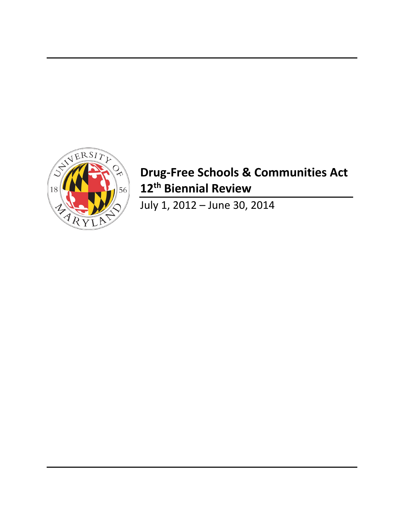

# **Drug-Free Schools & Communities Act 12th Biennial Review**

July 1, 2012 – June 30, 2014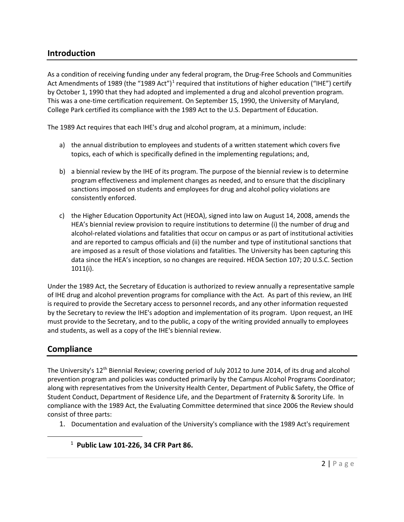# **Introduction**

As a condition of receiving funding under any federal program, the Drug-Free Schools and Communities Act Amendments of [1](#page-1-0)989 (the "1989 Act")<sup>1</sup> required that institutions of higher education ("IHE") certify by October 1, 1990 that they had adopted and implemented a drug and alcohol prevention program. This was a one-time certification requirement. On September 15, 1990, the University of Maryland, College Park certified its compliance with the 1989 Act to the U.S. Department of Education.

The 1989 Act requires that each IHE's drug and alcohol program, at a minimum, include:

- a) the annual distribution to employees and students of a written statement which covers five topics, each of which is specifically defined in the implementing regulations; and,
- b) a biennial review by the IHE of its program. The purpose of the biennial review is to determine program effectiveness and implement changes as needed, and to ensure that the disciplinary sanctions imposed on students and employees for drug and alcohol policy violations are consistently enforced.
- c) the Higher Education Opportunity Act (HEOA), signed into law on August 14, 2008, amends the HEA's biennial review provision to require institutions to determine (i) the number of drug and alcohol-related violations and fatalities that occur on campus or as part of institutional activities and are reported to campus officials and (ii) the number and type of institutional sanctions that are imposed as a result of those violations and fatalities. The University has been capturing this data since the HEA's inception, so no changes are required. HEOA Section 107; 20 U.S.C. Section 1011(i).

Under the 1989 Act, the Secretary of Education is authorized to review annually a representative sample of IHE drug and alcohol prevention programs for compliance with the Act. As part of this review, an IHE is required to provide the Secretary access to personnel records, and any other information requested by the Secretary to review the IHE's adoption and implementation of its program. Upon request, an IHE must provide to the Secretary, and to the public, a copy of the writing provided annually to employees and students, as well as a copy of the IHE's biennial review.

# **Compliance**

<span id="page-1-0"></span> $\overline{a}$ 

The University's 12th Biennial Review; covering period of July 2012 to June 2014, of its drug and alcohol prevention program and policies was conducted primarily by the Campus Alcohol Programs Coordinator; along with representatives from the University Health Center, Department of Public Safety, the Office of Student Conduct, Department of Residence Life, and the Department of Fraternity & Sorority Life. In compliance with the 1989 Act, the Evaluating Committee determined that since 2006 the Review should consist of three parts:

- 1. Documentation and evaluation of the University's compliance with the 1989 Act's requirement
- 1 **Public Law 101-226, 34 CFR Part 86.**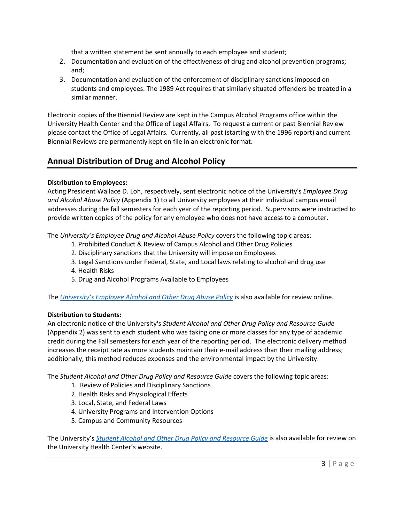that a written statement be sent annually to each employee and student;

- 2. Documentation and evaluation of the effectiveness of drug and alcohol prevention programs; and;
- 3. Documentation and evaluation of the enforcement of disciplinary sanctions imposed on students and employees. The 1989 Act requires that similarly situated offenders be treated in a similar manner.

Electronic copies of the Biennial Review are kept in the Campus Alcohol Programs office within the University Health Center and the Office of Legal Affairs. To request a current or past Biennial Review please contact the Office of Legal Affairs. Currently, all past (starting with the 1996 report) and current Biennial Reviews are permanently kept on file in an electronic format.

# **Annual Distribution of Drug and Alcohol Policy**

# **Distribution to Employees:**

Acting President Wallace D. Loh, respectively, sent electronic notice of the University's *Employee Drug and Alcohol Abuse Policy* (Appendix 1) to all University employees at their individual campus email addresses during the fall semesters for each year of the reporting period. Supervisors were instructed to provide written copies of the policy for any employee who does not have access to a computer.

The *University's Employee Drug and Alcohol Abuse Policy* covers the following topic areas:

- 1. Prohibited Conduct & Review of Campus Alcohol and Other Drug Policies
- 2. Disciplinary sanctions that the University will impose on Employees
- 3. Legal Sanctions under Federal, State, and Local laws relating to alcohol and drug use
- 4. Health Risks
- 5. Drug and Alcohol Programs Available to Employees

The *[University's Employee Alcohol and Other Drug Abuse Policy](http://www.president.umd.edu/policies/docs/VI-800A.pdf)* is also available for review online.

# **Distribution to Students:**

An electronic notice of the University's *Student Alcohol and Other Drug Policy and Resource Guide* (Appendix 2) was sent to each student who was taking one or more classes for any type of academic credit during the Fall semesters for each year of the reporting period. The electronic delivery method increases the receipt rate as more students maintain their e-mail address than their mailing address; additionally, this method reduces expenses and the environmental impact by the University.

The *Student Alcohol and Other Drug Policy and Resource Guide* covers the following topic areas:

- 1. Review of Policies and Disciplinary Sanctions
- 2. Health Risks and Physiological Effects
- 3. Local, State, and Federal Laws
- 4. University Programs and Intervention Options
- 5. Campus and Community Resources

The University's *[Student Alcohol and Other Drug Policy and Resource Guide](http://www.health.umd.edu/sites/default/files/AOD%20Policy%20And%20Resource%20Guide%202014-2015.pdf)* is also available for review on the University Health Center's website.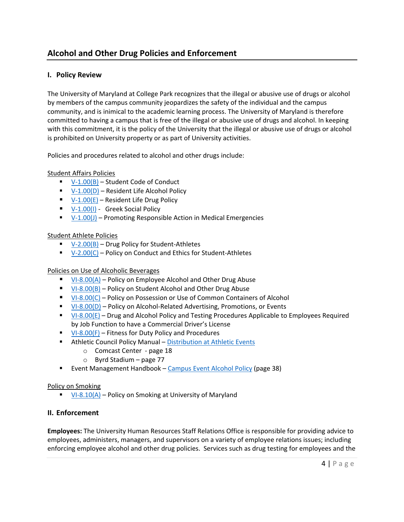# **Alcohol and Other Drug Policies and Enforcement**

# **I. Policy Review**

The University of Maryland at College Park recognizes that the illegal or abusive use of drugs or alcohol by members of the campus community jeopardizes the safety of the individual and the campus community, and is inimical to the academic learning process. The University of Maryland is therefore committed to having a campus that is free of the illegal or abusive use of drugs and alcohol. In keeping with this commitment, it is the policy of the University that the illegal or abusive use of drugs or alcohol is prohibited on University property or as part of University activities.

Policies and procedures related to alcohol and other drugs include:

### Student Affairs Policies

- $V-1.00(B)$  Student Code of Conduct
- $V-1.00(D)$  Resident Life Alcohol Policy
- $V-1.00(E)$  Resident Life Drug Policy
- $\blacktriangleright$  [V-1.00\(I\)](http://www.president.umd.edu/policies/2014-V-100i.html) Greek Social Policy
- $V-1.00(J)$  Promoting Responsible Action in Medical Emergencies

### Student Athlete Policies

- $V-2.00(B)$  Drug Policy for Student-Athletes
- $V-2.00(C)$  Policy on Conduct and Ethics for Student-Athletes

### Policies on Use of Alcoholic Beverages

- [VI-8.00\(A\)](http://www.president.umd.edu/policies/docs/VI-800A.pdf) Policy on Employee Alcohol and Other Drug Abuse
- [VI-8.00\(B\)](http://www.president.umd.edu/policies/docs/VI-800B.pdf) Policy on Student Alcohol and Other Drug Abuse
- [VI-8.00\(C\)](http://www.president.umd.edu/policies/2014-VI-800c.html) Policy on Possession or Use of Common Containers of Alcohol
- [VI-8.00\(D\)](http://www.president.umd.edu/policies/2014-VI-800d.htm) Policy on Alcohol-Related Advertising, Promotions, or Events
- $V1-8.00(E)$  Drug and Alcohol Policy and Testing Procedures Applicable to Employees Required by Job Function to have a Commercial Driver's License
- $\blacksquare$  [VI-8.00\(F\)](http://www.president.umd.edu/policies/docs/VI-800F.pdf) Fitness for Duty Policy and Procedures
- **EXTENDITION Athletic Council Policy Manual [Distribution at Athletic Events](http://www.umterps.com/fls/29700/pdf/athleticcouncil/1314AC_PolicyManual.pdf?DB_OEM_ID=29700)** 
	- o Comcast Center page 18
	- $\circ$  Byrd Stadium page 77
- **Event Management Handbook [Campus Event Alcohol Policy](http://thestamp.umd.edu/Portals/0/QuickGallery/1019/110938EMH_Jan_11_version.pdf) (page 38)**

### Policy on Smoking

 $\blacksquare$  [VI-8.10\(A\)](http://www.president.umd.edu/policies/docs/VI-810A.pdf) – Policy on Smoking at University of Maryland

### **II. Enforcement**

**Employees:** The University Human Resources Staff Relations Office is responsible for providing advice to employees, administers, managers, and supervisors on a variety of employee relations issues; including enforcing employee alcohol and other drug policies. Services such as drug testing for employees and the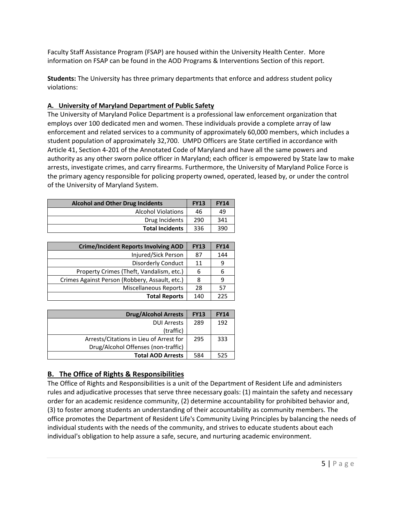Faculty Staff Assistance Program (FSAP) are housed within the University Health Center. More information on FSAP can be found in the AOD Programs & Interventions Section of this report.

**Students:** The University has three primary departments that enforce and address student policy violations:

# **A. University of Maryland Department of Public Safety**

The University of Maryland Police Department is a professional law enforcement organization that employs over 100 dedicated men and women. These individuals provide a complete array of law enforcement and related services to a community of approximately 60,000 members, which includes a student population of approximately 32,700. UMPD Officers are State certified in accordance with Article 41, Section 4-201 of the Annotated Code of Maryland and have all the same powers and authority as any other sworn police officer in Maryland; each officer is empowered by State law to make arrests, investigate crimes, and carry firearms. Furthermore, the University of Maryland Police Force is the primary agency responsible for policing property owned, operated, leased by, or under the control of the University of Maryland System.

| <b>Alcohol and Other Drug Incidents</b> |     | <b>FY14</b> |
|-----------------------------------------|-----|-------------|
| <b>Alcohol Violations</b>               | 46  | 49          |
| Drug Incidents                          | 290 | 341         |
| <b>Total Incidents</b>                  | 336 | 390         |

| <b>Crime/Incident Reports Involving AOD</b>    | <b>FY13</b> | <b>FY14</b> |
|------------------------------------------------|-------------|-------------|
| Injured/Sick Person                            | 87          | 144         |
| Disorderly Conduct                             | 11          | 9           |
| Property Crimes (Theft, Vandalism, etc.)       | 6           | 6           |
| Crimes Against Person (Robbery, Assault, etc.) | 8           | 9           |
| <b>Miscellaneous Reports</b>                   | 28          | 57          |
| <b>Total Reports</b>                           | 140         | 225         |

| <b>Drug/Alcohol Arrests</b>             | <b>FY13</b> | <b>FY14</b> |
|-----------------------------------------|-------------|-------------|
| <b>DUI Arrests</b>                      | 289         | 192         |
| (traffic)                               |             |             |
| Arrests/Citations in Lieu of Arrest for | 295         | 333         |
| Drug/Alcohol Offenses (non-traffic)     |             |             |
| <b>Total AOD Arrests</b>                | 584         | 525         |

# **B. The Office of Rights & Responsibilities**

The Office of Rights and Responsibilities is a unit of the Department of Resident Life and administers rules and adjudicative processes that serve three necessary goals: (1) maintain the safety and necessary order for an academic residence community, (2) determine accountability for prohibited behavior and, (3) to foster among students an understanding of their accountability as community members. The office promotes the Department of Resident Life's Community Living Principles by balancing the needs of individual students with the needs of the community, and strives to educate students about each individual's obligation to help assure a safe, secure, and nurturing academic environment.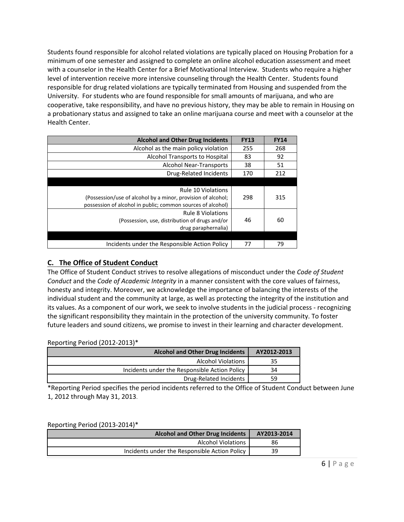Students found responsible for alcohol related violations are typically placed on Housing Probation for a minimum of one semester and assigned to complete an online alcohol education assessment and meet with a counselor in the Health Center for a Brief Motivational Interview. Students who require a higher level of intervention receive more intensive counseling through the Health Center. Students found responsible for drug related violations are typically terminated from Housing and suspended from the University. For students who are found responsible for small amounts of marijuana, and who are cooperative, take responsibility, and have no previous history, they may be able to remain in Housing on a probationary status and assigned to take an online marijuana course and meet with a counselor at the Health Center.

| <b>Alcohol and Other Drug Incidents</b>                      | <b>FY13</b> | <b>FY14</b> |
|--------------------------------------------------------------|-------------|-------------|
| Alcohol as the main policy violation                         | 255         | 268         |
| Alcohol Transports to Hospital                               | 83          | 92          |
| <b>Alcohol Near-Transports</b>                               | 38          | 51          |
| Drug-Related Incidents                                       | 170         | 212         |
|                                                              |             |             |
| <b>Rule 10 Violations</b>                                    |             |             |
| (Possession/use of alcohol by a minor, provision of alcohol; | 298         | 315         |
| possession of alcohol in public; common sources of alcohol)  |             |             |
| <b>Rule 8 Violations</b>                                     |             |             |
| (Possession, use, distribution of drugs and/or               | 46          | 60          |
| drug paraphernalia)                                          |             |             |
|                                                              |             |             |
| Incidents under the Responsible Action Policy                | 77          | 79          |

# **C. The Office of Student Conduct**

The Office of Student Conduct strives to resolve allegations of misconduct under the *Code of Student Conduct* and the *Code of Academic Integrity* in a manner consistent with the core values of fairness, honesty and integrity. Moreover, we acknowledge the importance of balancing the interests of the individual student and the community at large, as well as protecting the integrity of the institution and its values. As a component of our work, we seek to involve students in the judicial process - recognizing the significant responsibility they maintain in the protection of the university community. To foster future leaders and sound citizens, we promise to invest in their learning and character development.

### Reporting Period (2012-2013)\*

| <b>Alcohol and Other Drug Incidents</b>       | AY2012-2013 |
|-----------------------------------------------|-------------|
| <b>Alcohol Violations</b>                     | 35          |
| Incidents under the Responsible Action Policy | 34          |
| Drug-Related Incidents                        | 59          |

\*Reporting Period specifies the period incidents referred to the Office of Student Conduct between June 1, 2012 through May 31, 2013.

### Reporting Period (2013-2014)\*

| <b>Alcohol and Other Drug Incidents</b>       | AY2013-2014 |
|-----------------------------------------------|-------------|
| <b>Alcohol Violations</b>                     | 86          |
| Incidents under the Responsible Action Policy | 39          |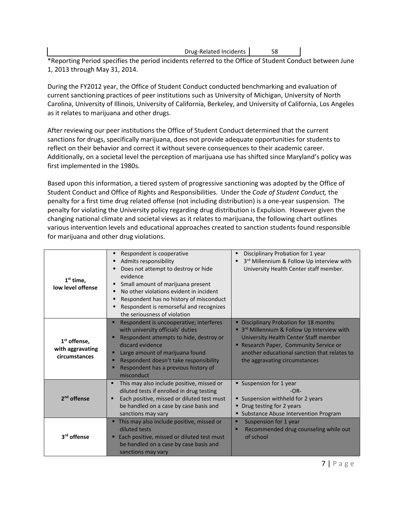Drug-Related Incidents 58

\*Reporting Period specifies the period incidents referred to the Office of Student Conduct between June 1, 2013 through May 31, 2014.

During the FY2012 year, the Office of Student Conduct conducted benchmarking and evaluation of current sanctioning practices of peer institutions such as University of Michigan, University of North Carolina, University of Illinois, University of California, Berkeley, and University of California, Los Angeles as it relates to marijuana and other drugs.

After reviewing our peer institutions the Office of Student Conduct determined that the current sanctions for drugs, specifically marijuana, does not provide adequate opportunities for students to reflect on their behavior and correct it without severe consequences to their academic career. Additionally, on a societal level the perception of marijuana use has shifted since Maryland's policy was first implemented in the 1980s.

Based upon this information, a tiered system of progressive sanctioning was adopted by the Office of Student Conduct and Office of Rights and Responsibilities. Under the *Code of Student Conduct,* the penalty for a first time drug related offense (not including distribution) is a one-year suspension. The penalty for violating the University policy regarding drug distribution is Expulsion. However given the changing national climate and societal views as it relates to marijuana, the following chart outlines various intervention levels and educational approaches created to sanction students found responsible for marijuana and other drug violations.

| $1st$ time,<br>low level offense                              | Respondent is cooperative<br>Admits responsibility<br>٠<br>Does not attempt to destroy or hide<br>п<br>evidence<br>Small amount of marijuana present<br>٠<br>No other violations evident in incident<br>п<br>Respondent has no history of misconduct<br>п<br>Respondent is remorseful and recognizes<br>the seriousness of violation | Disciplinary Probation for 1 year<br>3rd Millennium & Follow Up interview with<br>University Health Center staff member.                                                                                                                                     |
|---------------------------------------------------------------|--------------------------------------------------------------------------------------------------------------------------------------------------------------------------------------------------------------------------------------------------------------------------------------------------------------------------------------|--------------------------------------------------------------------------------------------------------------------------------------------------------------------------------------------------------------------------------------------------------------|
| 1 <sup>st</sup> offense,<br>with aggravating<br>circumstances | Respondent is uncooperative; interferes<br>п<br>with university officials' duties<br>Respondent attempts to hide, destroy or<br>discard evidence<br>Large amount of marijuana found<br>п<br>Respondent doesn't take responsibility<br>п<br>Respondent has a previous history of<br>misconduct                                        | <b>Disciplinary Probation for 18 months</b><br>• 3rd Millennium & Follow Up Interview with<br>University Health Center Staff member<br>Research Paper, Community Service or<br>another educational sanction that relates to<br>the aggravating circumstances |
| 2 <sup>nd</sup> offense                                       | This may also include positive, missed or<br>٠<br>diluted tests if enrolled in drug testing<br>Each positive, missed or diluted test must<br>be handled on a case by case basis and<br>sanctions may vary                                                                                                                            | Suspension for 1 year<br>$-OR-$<br>Suspension withheld for 2 years<br>• Drug testing for 2 years<br><b>Substance Abuse Intervention Program</b>                                                                                                              |
| 3 <sup>rd</sup> offense                                       | " This may also include positive, missed or<br>diluted tests<br>Each positive, missed or diluted test must<br>п<br>be handled on a case by case basis and<br>sanctions may vary                                                                                                                                                      | Suspension for 1 year<br>Recommended drug counseling while out<br>of school                                                                                                                                                                                  |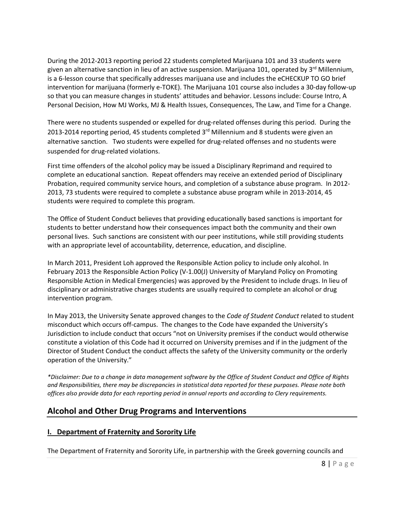During the 2012-2013 reporting period 22 students completed Marijuana 101 and 33 students were given an alternative sanction in lieu of an active suspension. Marijuana 101, operated by 3<sup>rd</sup> Millennium, is a 6-lesson course that specifically addresses marijuana use and includes the eCHECKUP TO GO brief intervention for marijuana (formerly e-TOKE). The Marijuana 101 course also includes a 30-day follow-up so that you can measure changes in students' attitudes and behavior. Lessons include: Course Intro, A Personal Decision, How MJ Works, MJ & Health Issues, Consequences, The Law, and Time for a Change.

There were no students suspended or expelled for drug-related offenses during this period. During the 2013-2014 reporting period, 45 students completed  $3<sup>rd</sup>$  Millennium and 8 students were given an alternative sanction. Two students were expelled for drug-related offenses and no students were suspended for drug-related violations.

First time offenders of the alcohol policy may be issued a Disciplinary Reprimand and required to complete an educational sanction. Repeat offenders may receive an extended period of Disciplinary Probation, required community service hours, and completion of a substance abuse program. In 2012- 2013, 73 students were required to complete a substance abuse program while in 2013-2014, 45 students were required to complete this program.

The Office of Student Conduct believes that providing educationally based sanctions is important for students to better understand how their consequences impact both the community and their own personal lives. Such sanctions are consistent with our peer institutions, while still providing students with an appropriate level of accountability, deterrence, education, and discipline.

In March 2011, President Loh approved the Responsible Action policy to include only alcohol. In February 2013 the Responsible Action Policy (V-1.00(J) University of Maryland Policy on Promoting Responsible Action in Medical Emergencies) was approved by the President to include drugs. In lieu of disciplinary or administrative charges students are usually required to complete an alcohol or drug intervention program.

In May 2013, the University Senate approved changes to the *Code of Student Conduct* related to student misconduct which occurs off-campus. The changes to the Code have expanded the University's Jurisdiction to include conduct that occurs "not on University premises if the conduct would otherwise constitute a violation of this Code had it occurred on University premises and if in the judgment of the Director of Student Conduct the conduct affects the safety of the University community or the orderly operation of the University."

*\*Disclaimer: Due to a change in data management software by the Office of Student Conduct and Office of Rights and Responsibilities, there may be discrepancies in statistical data reported for these purposes. Please note both offices also provide data for each reporting period in annual reports and according to Clery requirements.* 

# **Alcohol and Other Drug Programs and Interventions**

# **I. Department of Fraternity and Sorority Life**

The Department of Fraternity and Sorority Life, in partnership with the Greek governing councils and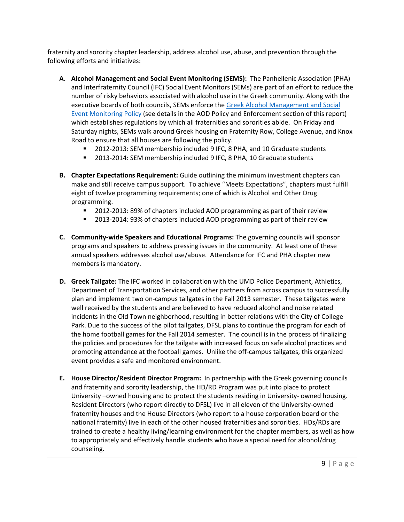fraternity and sorority chapter leadership, address alcohol use, abuse, and prevention through the following efforts and initiatives:

- **A. Alcohol Management and Social Event Monitoring (SEMS):** The Panhellenic Association (PHA) and Interfraternity Council (IFC) Social Event Monitors (SEMs) are part of an effort to reduce the number of risky behaviors associated with alcohol use in the Greek community. Along with the executive boards of both councils, SEMs enforce the [Greek Alcohol Management and Social](http://greek.umd.edu/wp-content/uploads/2010/05/2012-Alcohol-Management-and-SEM-Policy.pdf)  [Event Monitoring Policy](http://greek.umd.edu/wp-content/uploads/2010/05/2012-Alcohol-Management-and-SEM-Policy.pdf) (see details in the AOD Policy and Enforcement section of this report) which establishes regulations by which all fraternities and sororities abide. On Friday and Saturday nights, SEMs walk around Greek housing on Fraternity Row, College Avenue, and Knox Road to ensure that all houses are following the policy.
	- 2012-2013: SEM membership included 9 IFC, 8 PHA, and 10 Graduate students
	- 2013-2014: SEM membership included 9 IFC, 8 PHA, 10 Graduate students
- **B. Chapter Expectations Requirement:** Guide outlining the minimum investment chapters can make and still receive campus support. To achieve "Meets Expectations", chapters must fulfill eight of twelve programming requirements; one of which is Alcohol and Other Drug programming.
	- 2012-2013: 89% of chapters included AOD programming as part of their review
	- **2013-2014: 93% of chapters included AOD programming as part of their review**
- **C. Community-wide Speakers and Educational Programs:** The governing councils will sponsor programs and speakers to address pressing issues in the community. At least one of these annual speakers addresses alcohol use/abuse. Attendance for IFC and PHA chapter new members is mandatory.
- **D. Greek Tailgate:** The IFC worked in collaboration with the UMD Police Department, Athletics, Department of Transportation Services, and other partners from across campus to successfully plan and implement two on-campus tailgates in the Fall 2013 semester. These tailgates were well received by the students and are believed to have reduced alcohol and noise related incidents in the Old Town neighborhood, resulting in better relations with the City of College Park. Due to the success of the pilot tailgates, DFSL plans to continue the program for each of the home football games for the Fall 2014 semester. The council is in the process of finalizing the policies and procedures for the tailgate with increased focus on safe alcohol practices and promoting attendance at the football games. Unlike the off-campus tailgates, this organized event provides a safe and monitored environment.
- **E. House Director/Resident Director Program:** In partnership with the Greek governing councils and fraternity and sorority leadership, the HD/RD Program was put into place to protect University –owned housing and to protect the students residing in University- owned housing. Resident Directors (who report directly to DFSL) live in all eleven of the University-owned fraternity houses and the House Directors (who report to a house corporation board or the national fraternity) live in each of the other housed fraternities and sororities. HDs/RDs are trained to create a healthy living/learning environment for the chapter members, as well as how to appropriately and effectively handle students who have a special need for alcohol/drug counseling.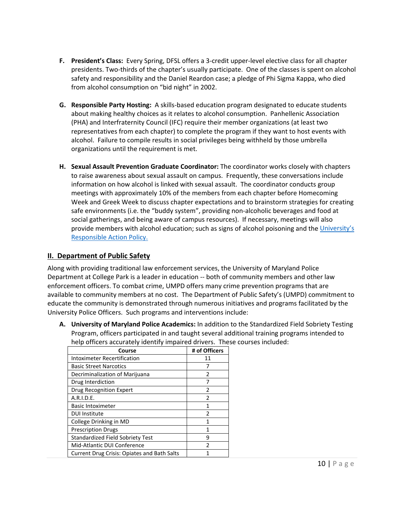- **F. President's Class:** Every Spring, DFSL offers a 3-credit upper-level elective class for all chapter presidents. Two-thirds of the chapter's usually participate. One of the classes is spent on alcohol safety and responsibility and the Daniel Reardon case; a pledge of Phi Sigma Kappa, who died from alcohol consumption on "bid night" in 2002.
- **G. Responsible Party Hosting:** A skills-based education program designated to educate students about making healthy choices as it relates to alcohol consumption. Panhellenic Association (PHA) and Interfraternity Council (IFC) require their member organizations (at least two representatives from each chapter) to complete the program if they want to host events with alcohol.Failure to compile results in social privileges being withheld by those umbrella organizations until the requirement is met.
- **H. Sexual Assault Prevention Graduate Coordinator:** The coordinator works closely with chapters to raise awareness about sexual assault on campus. Frequently, these conversations include information on how alcohol is linked with sexual assault. The coordinator conducts group meetings with approximately 10% of the members from each chapter before Homecoming Week and Greek Week to discuss chapter expectations and to brainstorm strategies for creating safe environments (i.e. the "buddy system", providing non-alcoholic beverages and food at social gatherings, and being aware of campus resources). If necessary, meetings will also provide members with alcohol education; such as signs of alcohol poisoning and the University's [Responsible Action Policy.](http://president.umd.edu/policies/docs/V-100j.pdf)

# **II. Department of Public Safety**

Along with providing traditional law enforcement services, the University of Maryland Police Department at College Park is a leader in education -- both of community members and other law enforcement officers. To combat crime, UMPD offers many crime prevention programs that are available to community members at no cost. The Department of Public Safety's (UMPD) commitment to educate the community is demonstrated through numerous initiatives and programs facilitated by the University Police Officers. Such programs and interventions include:

**A. University of Maryland Police Academics:** In addition to the Standardized Field Sobriety Testing Program, officers participated in and taught several additional training programs intended to help officers accurately identify impaired drivers. These courses included:

| Course                                      | # of Officers |
|---------------------------------------------|---------------|
| Intoximeter Recertification                 | 11            |
| <b>Basic Street Narcotics</b>               |               |
| Decriminalization of Marijuana              | 2             |
| Drug Interdiction                           |               |
| Drug Recognition Expert                     | 2             |
| A.R.I.D.E.                                  | $\mathfrak z$ |
| <b>Basic Intoximeter</b>                    | 1             |
| <b>DUI Institute</b>                        | 2             |
| College Drinking in MD                      | 1             |
| <b>Prescription Drugs</b>                   | 1             |
| <b>Standardized Field Sobriety Test</b>     | 9             |
| Mid-Atlantic DUI Conference                 | $\mathfrak z$ |
| Current Drug Crisis: Opiates and Bath Salts |               |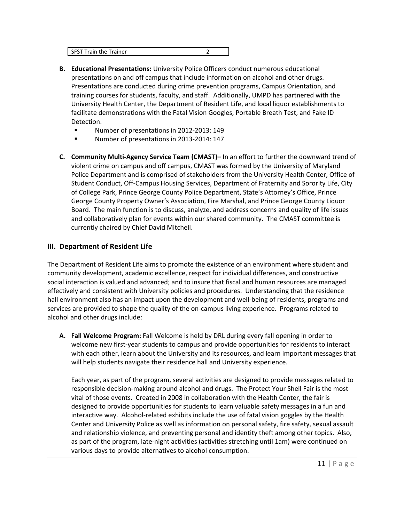- **B. Educational Presentations:** University Police Officers conduct numerous educational presentations on and off campus that include information on alcohol and other drugs. Presentations are conducted during crime prevention programs, Campus Orientation, and training courses for students, faculty, and staff. Additionally, UMPD has partnered with the University Health Center, the Department of Resident Life, and local liquor establishments to facilitate demonstrations with the Fatal Vision Googles, Portable Breath Test, and Fake ID Detection.
	- **Number of presentations in 2012-2013: 149**
	- Number of presentations in 2013-2014: 147
- **C. Community Multi-Agency Service Team (CMAST)–** In an effort to further the downward trend of violent crime on campus and off campus, CMAST was formed by the University of Maryland Police Department and is comprised of stakeholders from the University Health Center, Office of Student Conduct, Off-Campus Housing Services, Department of Fraternity and Sorority Life, City of College Park, Prince George County Police Department, State's Attorney's Office, Prince George County Property Owner's Association, Fire Marshal, and Prince George County Liquor Board. The main function is to discuss, analyze, and address concerns and quality of life issues and collaboratively plan for events within our shared community. The CMAST committee is currently chaired by Chief David Mitchell.

# **III. Department of Resident Life**

The Department of Resident Life aims to promote the existence of an environment where student and community development, academic excellence, respect for individual differences, and constructive social interaction is valued and advanced; and to insure that fiscal and human resources are managed effectively and consistent with University policies and procedures. Understanding that the residence hall environment also has an impact upon the development and well-being of residents, programs and services are provided to shape the quality of the on-campus living experience. Programs related to alcohol and other drugs include:

**A. Fall Welcome Program:** Fall Welcome is held by DRL during every fall opening in order to welcome new first-year students to campus and provide opportunities for residents to interact with each other, learn about the University and its resources, and learn important messages that will help students navigate their residence hall and University experience.

Each year, as part of the program, several activities are designed to provide messages related to responsible decision-making around alcohol and drugs. The Protect Your Shell Fair is the most vital of those events. Created in 2008 in collaboration with the Health Center, the fair is designed to provide opportunities for students to learn valuable safety messages in a fun and interactive way. Alcohol-related exhibits include the use of fatal vision goggles by the Health Center and University Police as well as information on personal safety, fire safety, sexual assault and relationship violence, and preventing personal and identity theft among other topics. Also, as part of the program, late-night activities (activities stretching until 1am) were continued on various days to provide alternatives to alcohol consumption.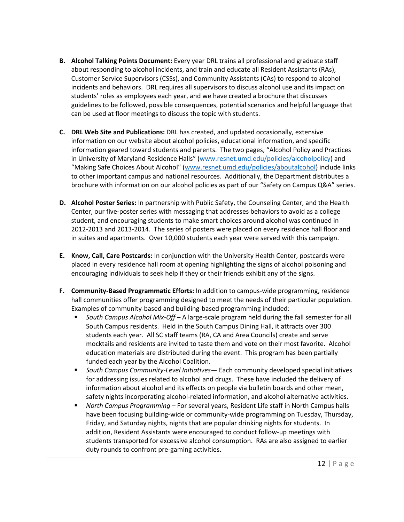- **B. Alcohol Talking Points Document:** Every year DRL trains all professional and graduate staff about responding to alcohol incidents, and train and educate all Resident Assistants (RAs), Customer Service Supervisors (CSSs), and Community Assistants (CAs) to respond to alcohol incidents and behaviors. DRL requires all supervisors to discuss alcohol use and its impact on students' roles as employees each year, and we have created a brochure that discusses guidelines to be followed, possible consequences, potential scenarios and helpful language that can be used at floor meetings to discuss the topic with students.
- **C. DRL Web Site and Publications:** DRL has created, and updated occasionally, extensive information on our website about alcohol policies, educational information, and specific information geared toward students and parents. The two pages, "Alcohol Policy and Practices in University of Maryland Residence Halls" [\(www.resnet.umd.edu/policies/alcoholpolicy\)](http://www.resnet.umd.edu/policies/alcoholpolicy) and "Making Safe Choices About Alcohol" [\(www.resnet.umd.edu/policies/aboutalcohol\)](http://www.resnet.umd.edu/policies/aboutalcohol) include links to other important campus and national resources. Additionally, the Department distributes a brochure with information on our alcohol policies as part of our "Safety on Campus Q&A" series.
- **D. Alcohol Poster Series:** In partnership with Public Safety, the Counseling Center, and the Health Center, our five-poster series with messaging that addresses behaviors to avoid as a college student, and encouraging students to make smart choices around alcohol was continued in 2012-2013 and 2013-2014. The series of posters were placed on every residence hall floor and in suites and apartments. Over 10,000 students each year were served with this campaign.
- **E. Know, Call, Care Postcards:** In conjunction with the University Health Center, postcards were placed in every residence hall room at opening highlighting the signs of alcohol poisoning and encouraging individuals to seek help if they or their friends exhibit any of the signs.
- **F. Community-Based Programmatic Efforts:** In addition to campus-wide programming, residence hall communities offer programming designed to meet the needs of their particular population. Examples of community-based and building-based programming included:
	- *South Campus Alcohol Mix-Off* A large-scale program held during the fall semester for all South Campus residents. Held in the South Campus Dining Hall, it attracts over 300 students each year. All SC staff teams (RA, CA and Area Councils) create and serve mocktails and residents are invited to taste them and vote on their most favorite. Alcohol education materials are distributed during the event. This program has been partially funded each year by the Alcohol Coalition.
	- *South Campus Community-Level Initiatives—* Each community developed special initiatives for addressing issues related to alcohol and drugs. These have included the delivery of information about alcohol and its effects on people via bulletin boards and other mean, safety nights incorporating alcohol-related information, and alcohol alternative activities.
	- *North Campus Programming* For several years, Resident Life staff in North Campus halls have been focusing building-wide or community-wide programming on Tuesday, Thursday, Friday, and Saturday nights, nights that are popular drinking nights for students. In addition, Resident Assistants were encouraged to conduct follow-up meetings with students transported for excessive alcohol consumption. RAs are also assigned to earlier duty rounds to confront pre-gaming activities.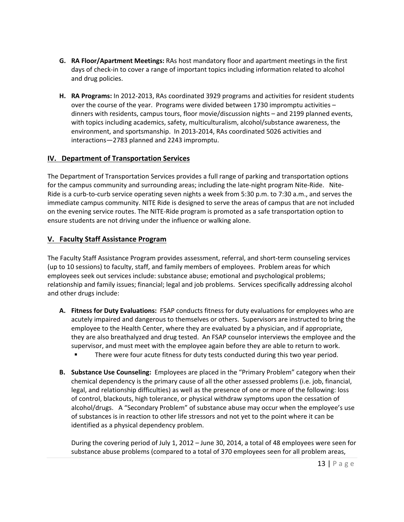- **G. RA Floor/Apartment Meetings:** RAs host mandatory floor and apartment meetings in the first days of check-in to cover a range of important topics including information related to alcohol and drug policies.
- **H. RA Programs:** In 2012-2013, RAs coordinated 3929 programs and activities for resident students over the course of the year. Programs were divided between 1730 impromptu activities – dinners with residents, campus tours, floor movie/discussion nights – and 2199 planned events, with topics including academics, safety, multiculturalism, alcohol/substance awareness, the environment, and sportsmanship. In 2013-2014, RAs coordinated 5026 activities and interactions—2783 planned and 2243 impromptu.

# **IV. Department of Transportation Services**

The Department of Transportation Services provides a full range of parking and transportation options for the campus community and surrounding areas; including the late-night program Nite-Ride. Nite-Ride is a curb-to-curb service operating seven nights a week from 5:30 p.m. to 7:30 a.m., and serves the immediate campus community. NITE Ride is designed to serve the areas of campus that are not included on the evening service routes. The NITE-Ride program is promoted as a safe transportation option to ensure students are not driving under the influence or walking alone.

# **V. Faculty Staff Assistance Program**

The Faculty Staff Assistance Program provides assessment, referral, and short-term counseling services (up to 10 sessions) to faculty, staff, and family members of employees. Problem areas for which employees seek out services include: substance abuse; emotional and psychological problems; relationship and family issues; financial; legal and job problems. Services specifically addressing alcohol and other drugs include:

- **A. Fitness for Duty Evaluations:** FSAP conducts fitness for duty evaluations for employees who are acutely impaired and dangerous to themselves or others. Supervisors are instructed to bring the employee to the Health Center, where they are evaluated by a physician, and if appropriate, they are also breathalyzed and drug tested. An FSAP counselor interviews the employee and the supervisor, and must meet with the employee again before they are able to return to work.
	- There were four acute fitness for duty tests conducted during this two year period.
- **B. Substance Use Counseling:** Employees are placed in the "Primary Problem" category when their chemical dependency is the primary cause of all the other assessed problems (i.e. job, financial, legal, and relationship difficulties) as well as the presence of one or more of the following: loss of control, blackouts, high tolerance, or physical withdraw symptoms upon the cessation of alcohol/drugs. A "Secondary Problem" of substance abuse may occur when the employee's use of substances is in reaction to other life stressors and not yet to the point where it can be identified as a physical dependency problem.

During the covering period of July 1, 2012 – June 30, 2014, a total of 48 employees were seen for substance abuse problems (compared to a total of 370 employees seen for all problem areas,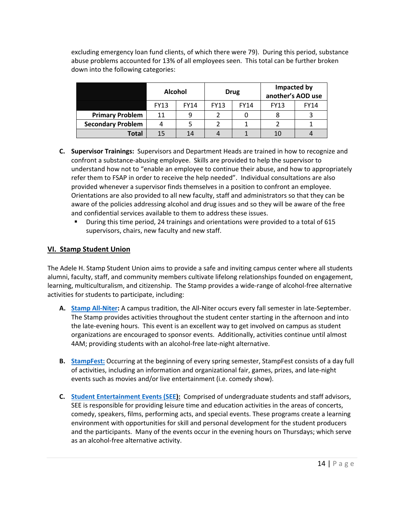excluding emergency loan fund clients, of which there were 79). During this period, substance abuse problems accounted for 13% of all employees seen. This total can be further broken down into the following categories:

|                          | <b>Alcohol</b> |             |             | <b>Drug</b> | Impacted by<br>another's AOD use |             |
|--------------------------|----------------|-------------|-------------|-------------|----------------------------------|-------------|
|                          | <b>FY13</b>    | <b>FY14</b> | <b>FY13</b> | <b>FY14</b> | <b>FY13</b>                      | <b>FY14</b> |
| <b>Primary Problem</b>   | 11             | q           |             |             |                                  |             |
| <b>Secondary Problem</b> |                |             |             |             |                                  |             |
| Total                    |                | 14          |             |             | 10                               |             |

- **C. Supervisor Trainings:** Supervisors and Department Heads are trained in how to recognize and confront a substance-abusing employee. Skills are provided to help the supervisor to understand how not to "enable an employee to continue their abuse, and how to appropriately refer them to FSAP in order to receive the help needed". Individual consultations are also provided whenever a supervisor finds themselves in a position to confront an employee. Orientations are also provided to all new faculty, staff and administrators so that they can be aware of the policies addressing alcohol and drug issues and so they will be aware of the free and confidential services available to them to address these issues.
	- During this time period, 24 trainings and orientations were provided to a total of 615 supervisors, chairs, new faculty and new staff.

# **VI. Stamp Student Union**

The Adele H. Stamp Student Union aims to provide a safe and inviting campus center where all students alumni, faculty, staff, and community members cultivate lifelong relationships founded on engagement, learning, multiculturalism, and citizenship. The Stamp provides a wide-range of alcohol-free alternative activities for students to participate, including:

- **A. [Stamp All-Niter:](http://thestamp.umd.edu/special_events_programs/all_niter)** A campus tradition, the All-Niter occurs every fall semester in late-September. The Stamp provides activities throughout the student center starting in the afternoon and into the late-evening hours. This event is an excellent way to get involved on campus as student organizations are encouraged to sponsor events. Additionally, activities continue until almost 4AM; providing students with an alcohol-free late-night alternative.
- **B. [StampFest:](http://thestamp.umd.edu/special_events_programs/stampfest/stampfest_schedule)** Occurring at the beginning of every spring semester, StampFest consists of a day full of activities, including an information and organizational fair, games, prizes, and late-night events such as movies and/or live entertainment (i.e. comedy show).
- **C. [Student Entertainment Events](http://see.umd.edu/) (SEE):** Comprised of undergraduate students and staff advisors, SEE is responsible for providing leisure time and education activities in the areas of concerts, comedy, speakers, films, performing acts, and special events. These programs create a learning environment with opportunities for skill and personal development for the student producers and the participants. Many of the events occur in the evening hours on Thursdays; which serve as an alcohol-free alternative activity.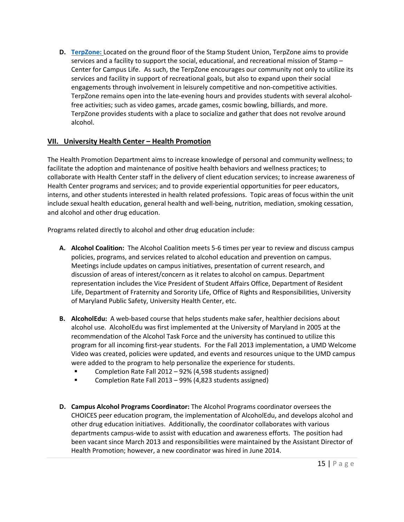**D. [TerpZone:](http://thestamp.umd.edu/terpzone)** Located on the ground floor of the Stamp Student Union, TerpZone aims to provide services and a facility to support the social, educational, and recreational mission of Stamp – Center for Campus Life. As such, the TerpZone encourages our community not only to utilize its services and facility in support of recreational goals, but also to expand upon their social engagements through involvement in leisurely competitive and non-competitive activities. TerpZone remains open into the late-evening hours and provides students with several alcoholfree activities; such as video games, arcade games, cosmic bowling, billiards, and more. TerpZone provides students with a place to socialize and gather that does not revolve around alcohol.

# **VII. University Health Center – Health Promotion**

The Health Promotion Department aims to increase knowledge of personal and community wellness; to facilitate the adoption and maintenance of positive health behaviors and wellness practices; to collaborate with Health Center staff in the delivery of client education services; to increase awareness of Health Center programs and services; and to provide experiential opportunities for peer educators, interns, and other students interested in health related professions. Topic areas of focus within the unit include sexual health education, general health and well-being, nutrition, mediation, smoking cessation, and alcohol and other drug education.

Programs related directly to alcohol and other drug education include:

- **A. Alcohol Coalition:** The Alcohol Coalition meets 5-6 times per year to review and discuss campus policies, programs, and services related to alcohol education and prevention on campus. Meetings include updates on campus initiatives, presentation of current research, and discussion of areas of interest/concern as it relates to alcohol on campus. Department representation includes the Vice President of Student Affairs Office, Department of Resident Life, Department of Fraternity and Sorority Life, Office of Rights and Responsibilities, University of Maryland Public Safety, University Health Center, etc.
- **B. AlcoholEdu:** A web-based course that helps students make safer, healthier decisions about alcohol use. AlcoholEdu was first implemented at the University of Maryland in 2005 at the recommendation of the Alcohol Task Force and the university has continued to utilize this program for all incoming first-year students. For the Fall 2013 implementation, a UMD Welcome Video was created, policies were updated, and events and resources unique to the UMD campus were added to the program to help personalize the experience for students.
	- Completion Rate Fall 2012 92% (4,598 students assigned)
	- Completion Rate Fall 2013 99% (4,823 students assigned)
- **D. Campus Alcohol Programs Coordinator:** The Alcohol Programs coordinator oversees the CHOICES peer education program, the implementation of AlcoholEdu, and develops alcohol and other drug education initiatives. Additionally, the coordinator collaborates with various departments campus-wide to assist with education and awareness efforts. The position had been vacant since March 2013 and responsibilities were maintained by the Assistant Director of Health Promotion; however, a new coordinator was hired in June 2014.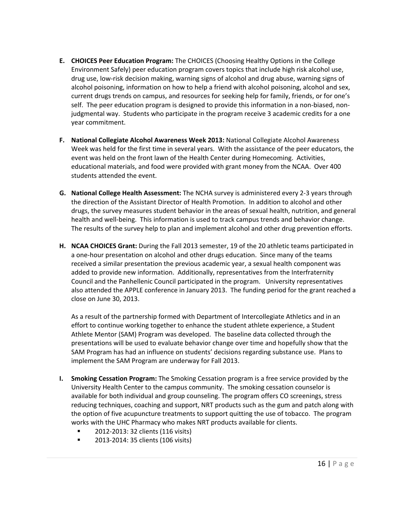- **E. CHOICES Peer Education Program:** The CHOICES (Choosing Healthy Options in the College Environment Safely) peer education program covers topics that include high risk alcohol use, drug use, low-risk decision making, warning signs of alcohol and drug abuse, warning signs of alcohol poisoning, information on how to help a friend with alcohol poisoning, alcohol and sex, current drugs trends on campus, and resources for seeking help for family, friends, or for one's self. The peer education program is designed to provide this information in a non-biased, nonjudgmental way. Students who participate in the program receive 3 academic credits for a one year commitment.
- **F. National Collegiate Alcohol Awareness Week 2013:** National Collegiate Alcohol Awareness Week was held for the first time in several years. With the assistance of the peer educators, the event was held on the front lawn of the Health Center during Homecoming. Activities, educational materials, and food were provided with grant money from the NCAA. Over 400 students attended the event.
- **G. National College Health Assessment:** The NCHA survey is administered every 2-3 years through the direction of the Assistant Director of Health Promotion. In addition to alcohol and other drugs, the survey measures student behavior in the areas of sexual health, nutrition, and general health and well-being. This information is used to track campus trends and behavior change. The results of the survey help to plan and implement alcohol and other drug prevention efforts.
- **H. NCAA CHOICES Grant:** During the Fall 2013 semester, 19 of the 20 athletic teams participated in a one-hour presentation on alcohol and other drugs education. Since many of the teams received a similar presentation the previous academic year, a sexual health component was added to provide new information. Additionally, representatives from the Interfraternity Council and the Panhellenic Council participated in the program. University representatives also attended the APPLE conference in January 2013. The funding period for the grant reached a close on June 30, 2013.

As a result of the partnership formed with Department of Intercollegiate Athletics and in an effort to continue working together to enhance the student athlete experience, a Student Athlete Mentor (SAM) Program was developed. The baseline data collected through the presentations will be used to evaluate behavior change over time and hopefully show that the SAM Program has had an influence on students' decisions regarding substance use. Plans to implement the SAM Program are underway for Fall 2013.

- **I. Smoking Cessation Program:** The Smoking Cessation program is a free service provided by the University Health Center to the campus community. The smoking cessation counselor is available for both individual and group counseling. The program offers CO screenings, stress reducing techniques, coaching and support, NRT products such as the gum and patch along with the option of five acupuncture treatments to support quitting the use of tobacco. The program works with the UHC Pharmacy who makes NRT products available for clients.
	- **2012-2013: 32 clients (116 visits)**
	- **2013-2014: 35 clients (106 visits)**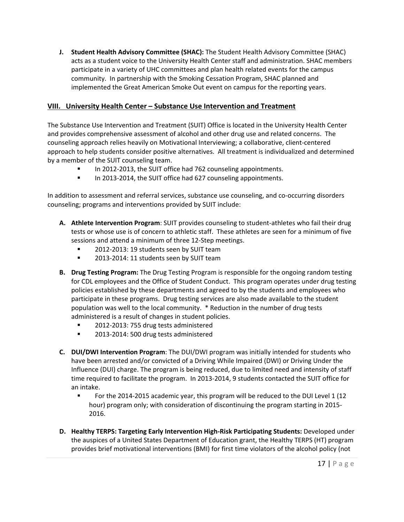**J. Student Health Advisory Committee (SHAC):** The Student Health Advisory Committee (SHAC) acts as a student voice to the University Health Center staff and administration. SHAC members participate in a variety of UHC committees and plan health related events for the campus community. In partnership with the Smoking Cessation Program, SHAC planned and implemented the Great American Smoke Out event on campus for the reporting years.

# **VIII. University Health Center – Substance Use Intervention and Treatment**

The Substance Use Intervention and Treatment (SUIT) Office is located in the University Health Center and provides comprehensive assessment of alcohol and other drug use and related concerns. The counseling approach relies heavily on Motivational Interviewing; a collaborative, client-centered approach to help students consider positive alternatives. All treatment is individualized and determined by a member of the SUIT counseling team.

- In 2012-2013, the SUIT office had 762 counseling appointments.
- In 2013-2014, the SUIT office had 627 counseling appointments.

In addition to assessment and referral services, substance use counseling, and co-occurring disorders counseling; programs and interventions provided by SUIT include:

- **A. Athlete Intervention Program**: SUIT provides counseling to student-athletes who fail their drug tests or whose use is of concern to athletic staff. These athletes are seen for a minimum of five sessions and attend a minimum of three 12-Step meetings.
	- **2012-2013: 19 students seen by SUIT team**
	- **2013-2014: 11 students seen by SUIT team**
- **B. Drug Testing Program:** The Drug Testing Program is responsible for the ongoing random testing for CDL employees and the Office of Student Conduct. This program operates under drug testing policies established by these departments and agreed to by the students and employees who participate in these programs. Drug testing services are also made available to the student population was well to the local community. \* Reduction in the number of drug tests administered is a result of changes in student policies.
	- **2012-2013: 755 drug tests administered**
	- **2013-2014: 500 drug tests administered**
- **C. DUI/DWI Intervention Program**: The DUI/DWI program was initially intended for students who have been arrested and/or convicted of a Driving While Impaired (DWI) or Driving Under the Influence (DUI) charge. The program is being reduced, due to limited need and intensity of staff time required to facilitate the program. In 2013-2014, 9 students contacted the SUIT office for an intake.
	- For the 2014-2015 academic year, this program will be reduced to the DUI Level 1 (12 hour) program only; with consideration of discontinuing the program starting in 2015- 2016.
- **D. Healthy TERPS: Targeting Early Intervention High-Risk Participating Students:** Developed under the auspices of a United States Department of Education grant, the Healthy TERPS (HT) program provides brief motivational interventions (BMI) for first time violators of the alcohol policy (not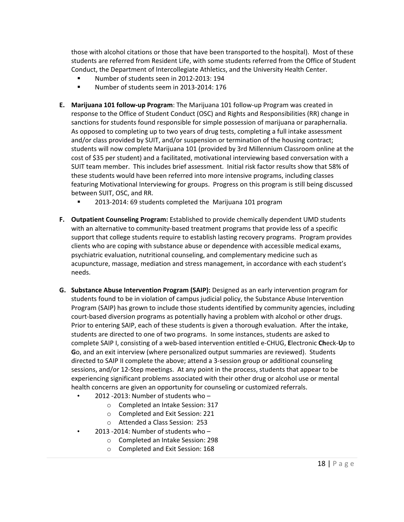those with alcohol citations or those that have been transported to the hospital). Most of these students are referred from Resident Life, with some students referred from the Office of Student Conduct, the Department of Intercollegiate Athletics, and the University Health Center.

- Number of students seen in 2012-2013: 194
- Number of students seem in 2013-2014: 176
- **E. Marijuana 101 follow-up Program**: The Marijuana 101 follow-up Program was created in response to the Office of Student Conduct (OSC) and Rights and Responsibilities (RR) change in sanctions for students found responsible for simple possession of marijuana or paraphernalia. As opposed to completing up to two years of drug tests, completing a full intake assessment and/or class provided by SUIT, and/or suspension or termination of the housing contract; students will now complete Marijuana 101 (provided by 3rd Millennium Classroom online at the cost of \$35 per student) and a facilitated, motivational interviewing based conversation with a SUIT team member. This includes brief assessment. Initial risk factor results show that 58% of these students would have been referred into more intensive programs, including classes featuring Motivational Interviewing for groups. Progress on this program is still being discussed between SUIT, OSC, and RR.
	- 2013-2014: 69 students completed the Marijuana 101 program
- **F. Outpatient Counseling Program:** Established to provide chemically dependent UMD students with an alternative to community-based treatment programs that provide less of a specific support that college students require to establish lasting recovery programs. Program provides clients who are coping with substance abuse or dependence with accessible medical exams, psychiatric evaluation, nutritional counseling, and complementary medicine such as acupuncture, massage, mediation and stress management, in accordance with each student's needs.
- **G. Substance Abuse Intervention Program (SAIP):** Designed as an early intervention program for students found to be in violation of campus judicial policy, the Substance Abuse Intervention Program (SAIP) has grown to include those students identified by community agencies, including court-based diversion programs as potentially having a problem with alcohol or other drugs. Prior to entering SAIP, each of these students is given a thorough evaluation. After the intake, students are directed to one of two programs. In some instances, students are asked to complete SAIP I, consisting of a web-based intervention entitled e-CHUG, **E**lectronic **Ch**eck-**U**p to **G**o, and an exit interview (where personalized output summaries are reviewed). Students directed to SAIP II complete the above; attend a 3-session group or additional counseling sessions, and/or 12-Step meetings. At any point in the process, students that appear to be experiencing significant problems associated with their other drug or alcohol use or mental health concerns are given an opportunity for counseling or customized referrals.
	- 2012 -2013: Number of students who
		- o Completed an Intake Session: 317
		- o Completed and Exit Session: 221
		- o Attended a Class Session: 253
	- 2013 -2014: Number of students who
		- o Completed an Intake Session: 298
		- o Completed and Exit Session: 168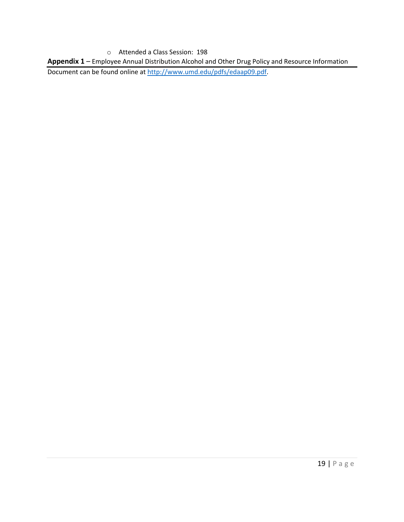o Attended a Class Session: 198

**Appendix 1** – Employee Annual Distribution Alcohol and Other Drug Policy and Resource Information

Document can be found online a[t http://www.umd.edu/pdfs/edaap09.pdf.](http://www.umd.edu/pdfs/edaap09.pdf)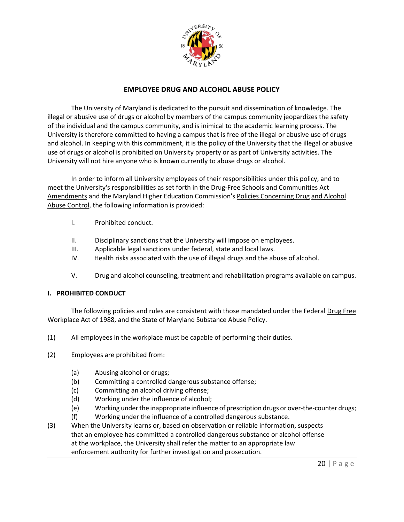

# **EMPLOYEE DRUG AND ALCOHOL ABUSE POLICY**

The University of Maryland is dedicated to the pursuit and dissemination of knowledge. The illegal or abusive use of drugs or alcohol by members of the campus community jeopardizes the safety of the individual and the campus community, and is inimical to the academic learning process. The University is therefore committed to having a campus that is free of the illegal or abusive use of drugs and alcohol. In keeping with this commitment, it is the policy of the University that the illegal or abusive use of drugs or alcohol is prohibited on University property or as part of University activities. The University will not hire anyone who is known currently to abuse drugs or alcohol.

In order to inform all University employees of their responsibilities under this policy, and to meet the University's responsibilities as set forth in the Drug-Free Schools and Communities Act Amendments and the Maryland Higher Education Commission's Policies Concerning Drug and Alcohol Abuse Control, the following information is provided:

- I. Prohibited conduct.
- II. Disciplinary sanctions that the University will impose on employees.
- III. Applicable legal sanctions under federal, state and local laws.
- IV. Health risks associated with the use of illegal drugs and the abuse of alcohol.
- V. Drug and alcohol counseling, treatment and rehabilitation programs available on campus.

### **I. PROHIBITED CONDUCT**

The following policies and rules are consistent with those mandated under the Federal Drug Free Workplace Act of 1988, and the State of Maryland Substance Abuse Policy.

- (1) All employees in the workplace must be capable of performing their duties.
- (2) Employees are prohibited from:
	- (a) Abusing alcohol or drugs;
	- (b) Committing a controlled dangerous substance offense;
	- (c) Committing an alcohol driving offense;
	- (d) Working under the influence of alcohol;
	- (e) Working under the inappropriate influence of prescription drugs or over-the-counter drugs;
	- (f) Working under the influence of a controlled dangerous substance.
- (3) When the University learns or, based on observation or reliable information, suspects that an employee has committed a controlled dangerous substance or alcohol offense at the workplace, the University shall refer the matter to an appropriate law enforcement authority for further investigation and prosecution.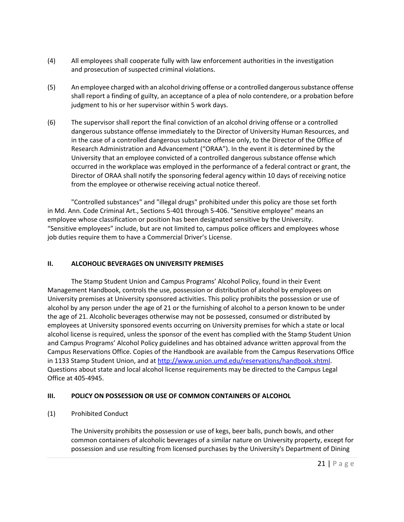- (4) All employees shall cooperate fully with law enforcement authorities in the investigation and prosecution of suspected criminal violations.
- (5) An employee charged with an alcohol driving offense or a controlled dangerous substance offense shall report a finding of guilty, an acceptance of a plea of nolo contendere, or a probation before judgment to his or her supervisor within 5 work days.
- (6) The supervisor shall report the final conviction of an alcohol driving offense or a controlled dangerous substance offense immediately to the Director of University Human Resources, and in the case of a controlled dangerous substance offense only, to the Director of the Office of Research Administration and Advancement ("ORAA"). In the event it is determined by the University that an employee convicted of a controlled dangerous substance offense which occurred in the workplace was employed in the performance of a federal contract or grant, the Director of ORAA shall notify the sponsoring federal agency within 10 days of receiving notice from the employee or otherwise receiving actual notice thereof.

"Controlled substances" and "illegal drugs" prohibited under this policy are those set forth in Md. Ann. Code Criminal Art., Sections 5-401 through 5-406. "Sensitive employee" means an employee whose classification or position has been designated sensitive by the University. "Sensitive employees" include, but are not limited to, campus police officers and employees whose job duties require them to have a Commercial Driver's License.

### **II. ALCOHOLIC BEVERAGES ON UNIVERSITY PREMISES**

The Stamp Student Union and Campus Programs' Alcohol Policy, found in their Event Management Handbook, controls the use, possession or distribution of alcohol by employees on University premises at University sponsored activities. This policy prohibits the possession or use of alcohol by any person under the age of 21 or the furnishing of alcohol to a person known to be under the age of 21. Alcoholic beverages otherwise may not be possessed, consumed or distributed by employees at University sponsored events occurring on University premises for which a state or local alcohol license is required, unless the sponsor of the event has complied with the Stamp Student Union and Campus Programs' Alcohol Policy guidelines and has obtained advance written approval from the Campus Reservations Office. Copies of the Handbook are available from the Campus Reservations Office in 1133 Stamp Student Union, and at http://www.union.umd.edu/reservations/handbook.shtml. Questions about state and local alcohol license requirements may be directed to the Campus Legal Office at 405-4945.

# **III. POLICY ON POSSESSION OR USE OF COMMON CONTAINERS OF ALCOHOL**

# (1) Prohibited Conduct

The University prohibits the possession or use of kegs, beer balls, punch bowls, and other common containers of alcoholic beverages of a similar nature on University property, except for possession and use resulting from licensed purchases by the University's Department of Dining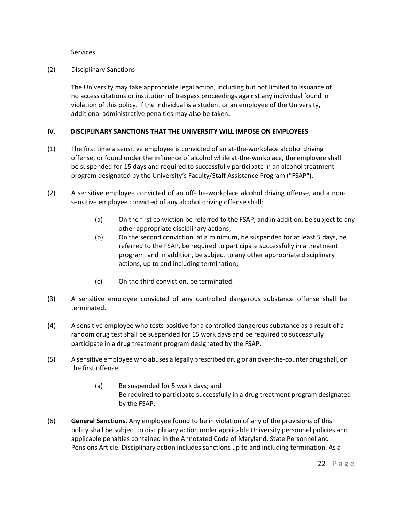Services.

(2) Disciplinary Sanctions

The University may take appropriate legal action, including but not limited to issuance of no access citations or institution of trespass proceedings against any individual found in violation of this policy. If the individual is a student or an employee of the University, additional administrative penalties may also be taken.

### **IV. DISCIPLINARY SANCTIONS THAT THE UNIVERSITY WILL IMPOSE ON EMPLOYEES**

- (1) The first time a sensitive employee is convicted of an at-the-workplace alcohol driving offense, or found under the influence of alcohol while at-the-workplace, the employee shall be suspended for 15 days and required to successfully participate in an alcohol treatment program designated by the University's Faculty/Staff Assistance Program ("FSAP").
- (2) A sensitive employee convicted of an off-the-workplace alcohol driving offense, and a nonsensitive employee convicted of any alcohol driving offense shall:
	- (a) On the first conviction be referred to the FSAP, and in addition, be subject to any other appropriate disciplinary actions;
	- (b) On the second conviction, at a minimum, be suspended for at least 5 days, be referred to the FSAP, be required to participate successfully in a treatment program, and in addition, be subject to any other appropriate disciplinary actions, up to and including termination;
	- (c) On the third conviction, be terminated.
- (3) A sensitive employee convicted of any controlled dangerous substance offense shall be terminated.
- (4) A sensitive employee who tests positive for a controlled dangerous substance as a result of a random drug test shall be suspended for 15 work days and be required to successfully participate in a drug treatment program designated by the FSAP.
- (5) A sensitive employee who abuses a legally prescribed drug or an over-the-counter drug shall, on the first offense:
	- (a) Be suspended for 5 work days; and Be required to participate successfully in a drug treatment program designated by the FSAP.
- (6) **General Sanctions.** Any employee found to be in violation of any of the provisions of this policy shall be subject to disciplinary action under applicable University personnel policies and applicable penalties contained in the Annotated Code of Maryland, State Personnel and Pensions Article. Disciplinary action includes sanctions up to and including termination. As a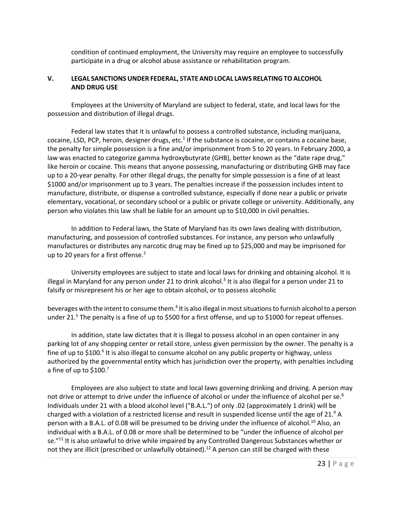condition of continued employment, the University may require an employee to successfully participate in a drug or alcohol abuse assistance or rehabilitation program.

### **V. LEGAL SANCTIONS UNDER FEDERAL, STATE AND LOCAL LAWS RELATING TO ALCOHOL AND DRUG USE**

Employees at the University of Maryland are subject to federal, state, and local laws for the possession and distribution of illegal drugs.

Federal law states that it is unlawful to possess a controlled substance, including marijuana, cocaine, LSD, PCP, heroin, designer drugs, etc. $1$  If the substance is cocaine, or contains a cocaine base, the penalty for simple possession is a fine and/or imprisonment from 5 to 20 years. In February 2000, a law was enacted to categorize gamma hydroxybutyrate (GHB), better known as the "date rape drug," like heroin or cocaine. This means that anyone possessing, manufacturing or distributing GHB may face up to a 20-year penalty. For other illegal drugs, the penalty for simple possession is a fine of at least \$1000 and/or imprisonment up to 3 years. The penalties increase if the possession includes intent to manufacture, distribute, or dispense a controlled substance, especially if done near a public or private elementary, vocational, or secondary school or a public or private college or university. Additionally, any person who violates this law shall be liable for an amount up to \$10,000 in civil penalties.

In addition to Federal laws, the State of Maryland has its own laws dealing with distribution, manufacturing, and possession of controlled substances. For instance, any person who unlawfully manufactures or distributes any narcotic drug may be fined up to \$25,000 and may be imprisoned for up to 20 years for a first offense.<sup>2</sup>

University employees are subject to state and local laws for drinking and obtaining alcohol. It is illegal in Maryland for any person under 21 to drink alcohol.<sup>3</sup> It is also illegal for a person under 21 to falsify or misrepresent his or her age to obtain alcohol, or to possess alcoholic

beverages with the intent to consume them.4 It is also illegal in most situations to furnish alcohol to a person under 21.<sup>5</sup> The penalty is a fine of up to \$500 for a first offense, and up to \$1000 for repeat offenses.

In addition, state law dictates that it is illegal to possess alcohol in an open container in any parking lot of any shopping center or retail store, unless given permission by the owner. The penalty is a fine of up to \$100.<sup>6</sup> It is also illegal to consume alcohol on any public property or highway, unless authorized by the governmental entity which has jurisdiction over the property, with penalties including a fine of up to \$100.7

Employees are also subject to state and local laws governing drinking and driving. A person may not drive or attempt to drive under the influence of alcohol or under the influence of alcohol per se. $8$ Individuals under 21 with a blood alcohol level ("B.A.L.") of only .02 (approximately 1 drink) will be charged with a violation of a restricted license and result in suspended license until the age of  $21<sup>9</sup>$  A person with a B.A.L. of 0.08 will be presumed to be driving under the influence of alcohol.<sup>10</sup> Also, an individual with a B.A.L. of 0.08 or more shall be determined to be "under the influence of alcohol per se."<sup>11</sup> It is also unlawful to drive while impaired by any Controlled Dangerous Substances whether or not they are illicit (prescribed or unlawfully obtained).<sup>12</sup> A person can still be charged with these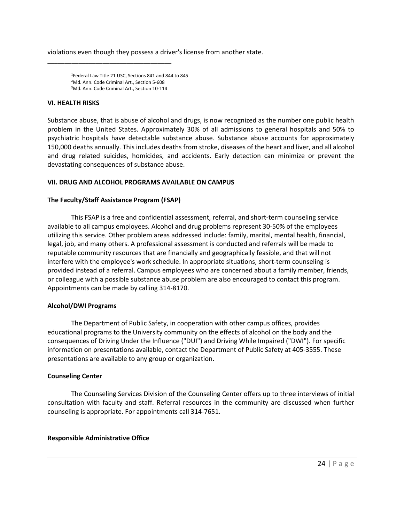violations even though they possess a driver's license from another state.

1 Federal Law Title 21 USC, Sections 841 and 844 to 845 <sup>2</sup>Md. Ann. Code Criminal Art., Section 5-608 3 Md. Ann. Code Criminal Art., Section 10-114

\_\_\_\_\_\_\_\_\_\_\_\_\_\_\_\_\_\_\_\_\_\_\_\_\_\_\_\_\_\_\_\_\_\_\_\_

### **VI. HEALTH RISKS**

Substance abuse, that is abuse of alcohol and drugs, is now recognized as the number one public health problem in the United States. Approximately 30% of all admissions to general hospitals and 50% to psychiatric hospitals have detectable substance abuse. Substance abuse accounts for approximately 150,000 deaths annually. This includes deaths from stroke, diseases of the heart and liver, and all alcohol and drug related suicides, homicides, and accidents. Early detection can minimize or prevent the devastating consequences of substance abuse.

### **VII. DRUG AND ALCOHOL PROGRAMS AVAILABLE ON CAMPUS**

### **The Faculty/Staff Assistance Program (FSAP)**

This FSAP is a free and confidential assessment, referral, and short-term counseling service available to all campus employees. Alcohol and drug problems represent 30-50% of the employees utilizing this service. Other problem areas addressed include: family, marital, mental health, financial, legal, job, and many others. A professional assessment is conducted and referrals will be made to reputable community resources that are financially and geographically feasible, and that will not interfere with the employee's work schedule. In appropriate situations, short-term counseling is provided instead of a referral. Campus employees who are concerned about a family member, friends, or colleague with a possible substance abuse problem are also encouraged to contact this program. Appointments can be made by calling 314-8170.

### **Alcohol/DWI Programs**

The Department of Public Safety, in cooperation with other campus offices, provides educational programs to the University community on the effects of alcohol on the body and the consequences of Driving Under the Influence ("DUI") and Driving While Impaired ("DWI"). For specific information on presentations available, contact the Department of Public Safety at 405-3555. These presentations are available to any group or organization.

### **Counseling Center**

The Counseling Services Division of the Counseling Center offers up to three interviews of initial consultation with faculty and staff. Referral resources in the community are discussed when further counseling is appropriate. For appointments call 314-7651.

### **Responsible Administrative Office**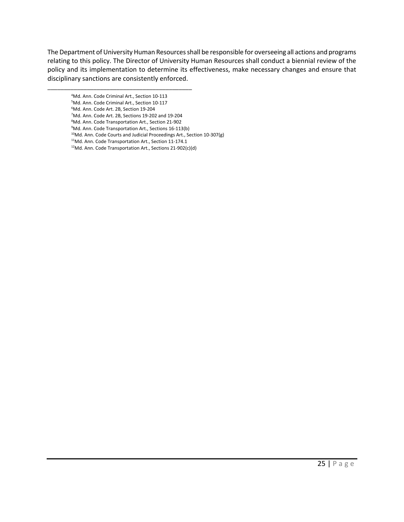The Department of University Human Resources shall be responsible for overseeing all actions and programs relating to this policy. The Director of University Human Resources shall conduct a biennial review of the policy and its implementation to determine its effectiveness, make necessary changes and ensure that disciplinary sanctions are consistently enforced.

- 4 Md. Ann. Code Criminal Art., Section 10-113 5 Md. Ann. Code Criminal Art., Section 10-117 6 Md. Ann. Code Art. 2B, Section 19-204 7 Md. Ann. Code Art. 2B, Sections 19-202 and 19-204
- 8 Md. Ann. Code Transportation Art., Section 21-902

\_\_\_\_\_\_\_\_\_\_\_\_\_\_\_\_\_\_\_\_\_\_\_\_\_\_\_\_\_\_\_\_\_\_\_\_\_\_\_\_\_\_\_\_

- 9 Md. Ann. Code Transportation Art., Sections 16-113(b)
- $10$ Md. Ann. Code Courts and Judicial Proceedings Art., Section 10-307(g)
- 11Md. Ann. Code Transportation Art., Section 11-174.1
- 12Md. Ann. Code Transportation Art., Sections 21-902(c)(d)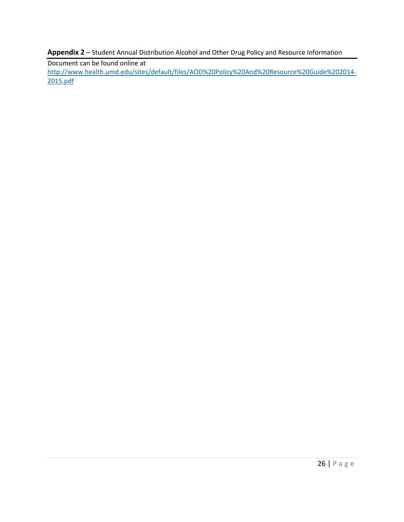**Appendix 2** – Student Annual Distribution Alcohol and Other Drug Policy and Resource Information

Document can be found online at

[http://www.health.umd.edu/sites/default/files/AOD%20Policy%20And%20Resource%20Guide%202014-](http://www.health.umd.edu/sites/default/files/AOD%20Policy%20And%20Resource%20Guide%202014-2015.pdf) [2015.pdf](http://www.health.umd.edu/sites/default/files/AOD%20Policy%20And%20Resource%20Guide%202014-2015.pdf)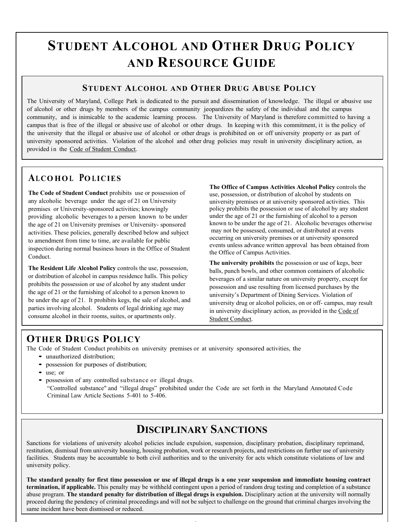# **STUDENT ALCOHOL AND OTHER DRUG POLICY AND RESOURCE GUIDE**

# **STUDENT ALCOHOL AND OTHER DRUG ABUSE POLICY**

The University of Maryland, College Park is dedicated to the pursuit and dissemination of knowledge. The illegal or abusive use of alcohol or other drugs by members of the campus community jeopardizes the safety of the individual and the campus community, and is inimicable to the academic learning process. The University of Maryland is therefore committed to having a campus that is free of the illegal or abusive use of alcohol or other drugs. In keeping with this commitment, it is the policy of the university that the illegal or abusive use of alcohol or other drugs is prohibited on or off university property or as part of university sponsored activities. Violation of the alcohol and other drug policies may result in university disciplinary action, as provided in the Code of Student Conduct.

# **ALCO HO L PO LICIES**

**The Code of Student Conduct** prohibits use or possession of any alcoholic beverage under the age of 21 on University premises or University-sponsored activities; knowingly providing alcoholic beverages to a person known to be under the age of 21 on University premises or University- sponsored activities. These policies, generally described below and subject to amendment from time to time, are available for public inspection during normal business hours in the Office of Student Conduct.

**The Resident Life Alcohol Policy** controls the use, possession, or distribution of alcohol in campus residence halls. This policy prohibits the possession or use of alcohol by any student under the age of 21 or the furnishing of alcohol to a person known to be under the age of 21. It prohibits kegs, the sale of alcohol, and parties involving alcohol. Students of legal drinking age may consume alcohol in their rooms, suites, or apartments only.

**The Office of Campus Activities Alcohol Policy** controls the use, possession, or distribution of alcohol by students on university premises or at university sponsored activities. This policy prohibits the possession or use of alcohol by any student under the age of 21 or the furnishing of alcohol to a person known to be under the age of 21. Alcoholic beverages otherwise may not be possessed, consumed, or distributed at events occurring on university premises or at university sponsored events unless advance written approval has been obtained from the Office of Campus Activities.

**The university prohibits** the possession or use of kegs, beer balls, punch bowls, and other common containers of alcoholic beverages of a similar nature on university property, except for possession and use resulting from licensed purchases by the university's Department of Dining Services. Violation of university drug or alcohol policies, on or off- campus, may result in university disciplinary action, as provided in the Code of Student Conduct.

# **OTHER DRUGS POLICY**

The Code of Student Conduct prohibits on university premises or at university sponsored activities, the

- unauthorized distribution;
- possession for purposes of distribution;
- use; or
- possession of any controlled substance or illegal drugs. "Controlled substance" and "illegal drugs" prohibited under the Code are set forth in the Maryland Annotated Code Criminal Law Article Sections 5-401 to 5-406.

# **DISCIPLINARY SANCTIONS**

Sanctions for violations of university alcohol policies include expulsion, suspension, disciplinary probation, disciplinary reprimand, restitution, dismissal from university housing, housing probation, work or research projects, and restrictions on further use of university facilities. Students may be accountable to both civil authorities and to the university for acts which constitute violations of law and university policy.

**The standard penalty for first time possession or use of illegal drugs is a one year suspension and immediate housing contract termination, if applicable.** This penalty may be withheld contingent upon a period of random drug testing and completion of a substance abuse program. **The standard penalty for distribution of illegal drugs is expulsion.** Disciplinary action at the university will normally proceed during the pendency of criminal proceedings and will not be subject to challenge on the ground that criminal charges involving the same incident have been dismissed or reduced.

 $\overline{1}$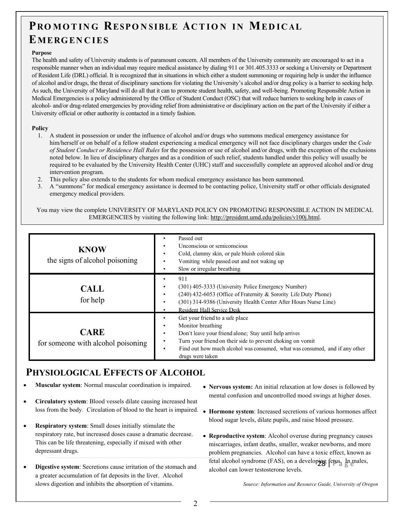# PROMOTING RESPONSIBLE ACTION IN MEDICAL **EMERGEN C IES**

### **Purpose**

The health and safety of University students is of paramount concern. All members of the University community are encouraged to act in a responsible manner when an individual may require medical assistance by dialing 911 or 301.405.3333 or seeking a University or Department of Resident Life (DRL) official. It is recognized that in situations in which either a student summoning or requiring help is under the influence of alcohol and/or drugs, the threat of disciplinary sanctions for violating the University's alcohol and/or drug policy is a barrier to seeking help. As such, the University of Maryland will do all that it can to promote student health, safety, and well-being. Promoting Responsible Action in Medical Emergencies is a policy administered by the Office of Student Conduct (OSC) that will reduce barriers to seeking help in cases of alcohol- and/or drug-related emergencies by providing relief from administrative or disciplinary action on the part of the University if either a University official or other authority is contacted in a timely fashion.

### **Policy**

- 1. A student in possession or under the influence of alcohol and/or drugs who summons medical emergency assistance for him/herself or on behalf of a fellow student experiencing a medical emergency will not face disciplinary charges under the *Code of Student Conduct or Residence Hall Rules* for the possession or use of alcohol and/or drugs, with the exception of the exclusions noted below. In lieu of disciplinary charges and as a condition of such relief, students handled under this policy will usually be required to be evaluated by the University Health Center (UHC) staff and successfully complete an approved alcohol and/or drug intervention program.
- 2. This policy also extends to the students for whom medical emergency assistance has been summoned.
- 3. A "summons" for medical emergency assistance is deemed to be contacting police, University staff or other officials designated emergency medical providers.

You may view the complete UNIVERSITY OF MARYLAND POLICY ON PROMOTING RESPONSIBLE ACTION IN MEDICAL EMERGENCIES by visiting the following link: [http://president.umd.edu/policies/v100j.html.](http://president.umd.edu/policies/v100j.html)

| <b>KNOW</b><br>the signs of alcohol poisoning     | Passed out<br>Unconscious or semiconscious<br>Cold, clammy skin, or pale bluish colored skin<br>$\bullet$<br>Vomiting while passed out and not waking up<br>Slow or irregular breathing                                                                                                                                             |
|---------------------------------------------------|-------------------------------------------------------------------------------------------------------------------------------------------------------------------------------------------------------------------------------------------------------------------------------------------------------------------------------------|
| <b>CALL</b><br>for help                           | 911<br>(301) 405-3333 (University Police Emergency Number)<br>(240) 432-6053 (Office of Fraternity & Sorority Life Duty Phone)<br>$\bullet$<br>(301) 314-9386 (University Health Center After Hours Nurse Line)<br><b>Resident Hall Service Desk</b>                                                                                |
| <b>CARE</b><br>for someone with alcohol poisoning | Get your friend to a safe place<br>Monitor breathing<br>$\bullet$<br>Don't leave your friend alone; Stay until help arrives<br>$\bullet$<br>Turn your friend on their side to prevent choking on vomit<br>$\bullet$<br>Find out how much alcohol was consumed, what was consumed, and if any other<br>$\bullet$<br>drugs were taken |

# **PHYSIOLOGICAL EFFECTS OF ALCOHOL**

- **Muscular system**: Normal muscular coordination is impaired.
- **Circulatory system**: Blood vessels dilate causing increased heat loss from the body. Circulation of blood to the heart is impaired.
- **Respiratory system**: Small doses initially stimulate the respiratory rate, but increased doses cause a dramatic decrease. This can be life threatening, especially if mixed with other depressant drugs.
- **Digestive system**: Secretions cause irritation of the stomach and a greater accumulation of fat deposits in the liver. Alcohol slows digestion and inhibits the absorption of vitamins.
- **Nervous system:** An initial relaxation at low doses is followed by mental confusion and uncontrolled mood swings at higher doses.
- **Hormone system**: Increased secretions of various hormones affect blood sugar levels, dilate pupils, and raise blood pressure.
- fetal alcohol syndrome (FAS), on a developing fetus. In males, • **Reproductive system**: Alcohol overuse during pregnancy causes miscarriages, infant deaths, smaller, weaker newborns, and more problem pregnancies. Alcohol can have a toxic effect, known as alcohol can lower testosterone levels.

*Source: Information and Resource Guide, University of Oregon*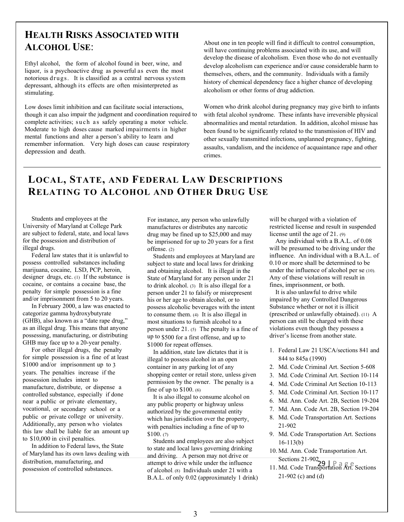# **HEALTH RISKS ASSOCIATED WITH ALCOHOL USE**:

Ethyl alcohol, the form of alcohol found in beer, wine, and liquor, is a psychoactive drug as powerful as even the most notorious drugs. It is classified as a central nervous system depressant, although its effects are often misinterpreted as stimulating.

Low doses limit inhibition and can facilitate social interactions, though it can also impair the judgment and coordination required to complete activities; such as safely operating a motor vehicle. Moderate to high doses cause marked impairments in higher mental functions and alter a person's ability to learn and remember information. Very high doses can cause respiratory depression and death.

About one in ten people will find it difficult to control consumption, will have continuing problems associated with its use, and will develop the disease of alcoholism. Even those who do not eventually develop alcoholism can experience and/or cause considerable harm to themselves, others, and the community. Individuals with a family history of chemical dependency face a higher chance of developing alcoholism or other forms of drug addiction.

Women who drink alcohol during pregnancy may give birth to infants with fetal alcohol syndrome. These infants have irreversible physical abnormalities and mental retardation. In addition, alcohol misuse has been found to be significantly related to the transmission of HIV and other sexually transmitted infections, unplanned pregnancy, fighting, assaults, vandalism, and the incidence of acquaintance rape and other crimes.

# **LOCAL, STATE, AND FEDERAL LAW DESCRIPTIONS RELATING TO ALCOHOL AND OTHER DRUG USE**

Students and employees at the University of Maryland at College Park are subject to federal, state, and local laws for the possession and distribution of illegal drugs.

Federal law states that it is unlawful to possess controlled substances including marijuana, cocaine, LSD, PCP, heroin, designer drugs, etc. (1) If the substance is cocaine, or contains a cocaine base, the penalty for simple possession is a fine and/or imprisonment from 5 to 20 years.

In February 2000, a law was enacted to categorize gamma hydroxybutyrate (GHB), also known as a "date rape drug," as an illegal drug. This means that anyone possessing, manufacturing, or distributing GHB may face up to a 20-year penalty.

For other illegal drugs, the penalty for simple possession is a fine of at least \$1000 and/or imprisonment up to 3 years. The penalties increase if the possession includes intent to manufacture, distribute, or dispense a controlled substance, especially if done near a public or private elementary, vocational, or secondary school or a public or private college or university. Additionally, any person who violates this law shall be liable for an amount up to \$10,000 in civil penalties.

In addition to Federal laws, the State of Maryland has its own laws dealing with distribution, manufacturing, and possession of controlled substances.

For instance, any person who unlawfully manufactures or distributes any narcotic drug may be fined up to \$25,000 and may be imprisoned for up to 20 years for a first offense. (2)

Students and employees at Maryland are subject to state and local laws for drinking and obtaining alcohol. It is illegal in the State of Maryland for any person under 21 to drink alcohol. (3) It is also illegal for a person under 21 to falsify or misrepresent his or her age to obtain alcohol, or to possess alcoholic beverages with the intent to consume them. (4) It is also illegal in most situations to furnish alcohol to a person under 21. (5) The penalty is a fine of up to \$500 for a first offense, and up to \$1000 for repeat offenses.

In addition, state law dictates that it is illegal to possess alcohol in an open container in any parking lot of any shopping center or retail store, unless given permission by the owner. The penalty is a fine of up to \$100. (6)

It is also illegal to consume alcohol on any public property or highway unless authorized by the governmental entity which has jurisdiction over the property, with penalties including a fine of up to \$100. (7)

Students and employees are also subject to state and local laws governing drinking and driving. A person may not drive or attempt to drive while under the influence of alcohol. (8) Individuals under 21 with a B.A.L. of only 0.02 (approximately 1 drink) will be charged with a violation of restricted license and result in suspended license until the age of 21. (9)

Any individual with a B.A.L. of 0.08 will be presumed to be driving under the influence. An individual with a B.A.L. of 0.10 or more shall be determined to be under the influence of alcohol per se (10). Any of these violations will result in fines, imprisonment, or both.

It is also unlawful to drive while impaired by any Controlled Dangerous Substance whether or not it is illicit (prescribed or unlawfully obtained). (11) A person can still be charged with these violations even though they possess a driver's license from another state.

- 1. Federal Law 21 USCA/sections 841 and 844 to 845a (1990)
- 2. Md. Code Criminal Art. Section 5-608
- 3. Md. Code Criminal Art. Section 10-114
- 4. Md. Code Criminal Art Section 10-113
- 5. Md. Code Criminal Art. Section 10-117
- 6. Md. Ann. Code Art. 2B, Section 19-204
- 7. Md. Ann. Code Art. 2B, Section 19-204
- 8. Md. Code Transportation Art. Sections 21-902
- 9. Md. Code Transportation Art. Sections 16-113(b)
- Sections 21-902<br>Md. Code Transportation  $R_{\rm F}$ 10. Md. Ann. Code Transportation Art.
- 11. Md. Code Transportation Art. Sections 21-902 (c) and (d)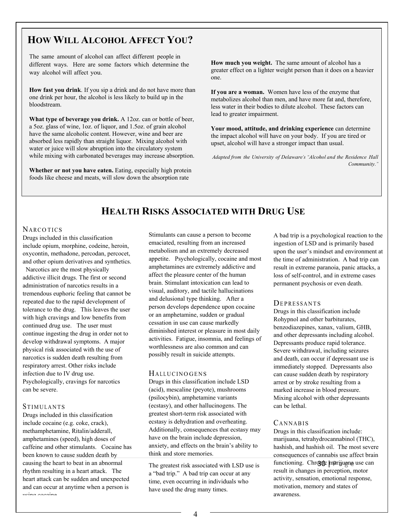# **HOW WILL ALCOHOL AFFECT YOU?**

The same amount of alcohol can affect different people in different ways. Here are some factors which determine the way alcohol will affect you.

**How fast you drink**. If you sip a drink and do not have more than one drink per hour, the alcohol is less likely to build up in the bloodstream.

**What type of beverage you drink.** A 12oz. can or bottle of beer, a 5oz. glass of wine, 1oz. of liquor, and 1.5oz. of grain alcohol have the same alcoholic content. However, wine and beer are absorbed less rapidly than straight liquor. Mixing alcohol with water or juice will slow abruption into the circulatory system while mixing with carbonated beverages may increase absorption.

**Whether or not you have eaten.** Eating, especially high protein foods like cheese and meats, will slow down the absorption rate

**How much you weight.** The same amount of alcohol has a greater effect on a lighter weight person than it does on a heavier one.

**If you are a woman.** Women have less of the enzyme that metabolizes alcohol than men, and have more fat and, therefore, less water in their bodies to dilute alcohol. These factors can lead to greater impairment.

**Your mood, attitude, and drinking experience** can determine the impact alcohol will have on your body. If you are tired or upset, alcohol will have a stronger impact than usual.

*Adapted from the University of Delaware's "Alcohol and the Residence Hall Community."*

# **HEALTH RISKS ASSOCIATED WITH DRUG USE**

### **NARCOTICS**

Drugs included in this classification include opium, morphine, codeine, heroin, oxycontin, methadone, percodan, percocet, and other opium derivatives and synthetics.

 Narcotics are the most physically addictive illicit drugs. The first or second administration of narcotics results in a tremendous euphoric feeling that cannot be repeated due to the rapid development of tolerance to the drug. This leaves the user with high cravings and low benefits from continued drug use. The user must continue ingesting the drug in order not to develop withdrawal symptoms. A major physical risk associated with the use of narcotics is sudden death resulting from respiratory arrest. Other risks include infection due to IV drug use. Psychologically, cravings for narcotics can be severe.

### **STIMULANTS**

Drugs included in this classification include cocaine (e.g. coke, crack), methamphetamine, Ritalin/adderall, amphetamines (speed), high doses of caffeine and other stimulants. Cocaine has been known to cause sudden death by causing the heart to beat in an abnormal rhythm resulting in a heart attack. The heart attack can be sudden and unexpected and can occur at anytime when a person is using cocaine

Stimulants can cause a person to become emaciated, resulting from an increased metabolism and an extremely decreased appetite. Psychologically, cocaine and most amphetamines are extremely addictive and affect the pleasure center of the human brain. Stimulant intoxication can lead to visual, auditory, and tactile hallucinations and delusional type thinking. After a person develops dependence upon cocaine or an amphetamine, sudden or gradual cessation in use can cause markedly diminished interest or pleasure in most daily activities. Fatigue, insomnia, and feelings of worthlessness are also common and can possibly result in suicide attempts.

### **HALLUCINO GENS**

Drugs in this classification include LSD (acid), mescaline (peyote), mushrooms (psilocybin), amphetamine variants (ecstasy), and other hallucinogens. The greatest short-term risk associated with ecstasy is dehydration and overheating. Additionally, consequences that ecstasy may have on the brain include depression, anxiety, and effects on the brain's ability to think and store memories.

The greatest risk associated with LSD use is a "bad trip." A bad trip can occur at any time, even occurring in individuals who have used the drug many times.

A bad trip is a psychological reaction to the ingestion of LSD and is primarily based upon the user's mindset and environment at the time of administration. A bad trip can result in extreme paranoia, panic attacks, a loss of self-control, and in extreme cases permanent psychosis or even death.

### **DEPRESSANTS**

Drugs in this classification include Rohypnol and other barbiturates, benzodiazepines, xanax, valium, GHB, and other depressants including alcohol. Depressants produce rapid tolerance. Severe withdrawal, including seizures and death, can occur if depressant use is immediately stopped. Depressants also can cause sudden death by respiratory arrest or by stroke resulting from a marked increase in blood pressure. Mixing alcohol with other depressants can be lethal.

### CANNABIS

functioning. Chronic marijuana use can Drugs in this classification include: marijuana, tetrahydrocannabinol (THC), hashish, and hashish oil. The most severe consequences of cannabis use affect brain result in changes in perception, motor activity, sensation, emotional response, motivation, memory and states of awareness.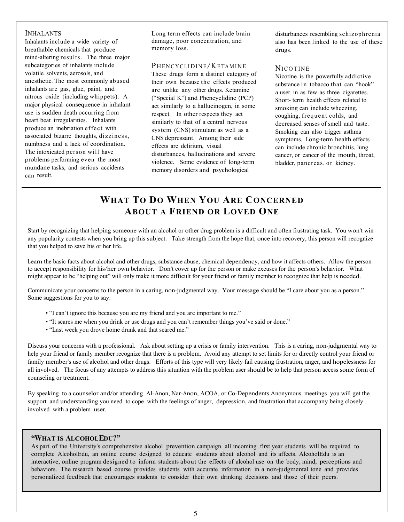### INHALANTS

Inhalants include a wide variety of breathable chemicals that produce mind-altering results. The three major subcategories of inhalants include volatile solvents, aerosols, and anesthetic. The most commonly abused inhalants are gas, glue, paint, and nitrous oxide (including whippets). A major physical consequence in inhalant use is sudden death occurring from heart beat irregularities. Inhalants produce an inebriation effect with associated bizarre thoughts, dizziness, numbness and a lack of coordination. The intoxicated person will have problems performing even the most mundane tasks, and serious accidents can result.

Long term effects can include brain damage, poor concentration, and memory loss.

### PHENCY CLIDINE/KETAMINE

These drugs form a distinct category of their own because the effects produced are unlike any other drugs. Ketamine ("Special K") and Phencyclidine (PCP) act similarly to a hallucinogen, in some respect. In other respects they act similarly to that of a central nervous system (CNS) stimulant as well as a CNS depressant. Among their side effects are delirium, visual disturbances, hallucinations and severe violence. Some evidence of long-term memory disorders and psychological

disturbances resembling schizophrenia also has been linked to the use of these drugs.

### **NICO TINE**

Nicotine is the powerfully addictive substance in tobacco that can "hook" a user in as few as three cigarettes. Short- term health effects related to smoking can include wheezing, coughing, frequent colds, and decreased senses of smell and taste. Smoking can also trigger asthma symptoms. Long-term health effects can include chronic bronchitis, lung cancer, or cancer of the mouth, throat, bladder, pancreas, or kidney.

# **WHAT TO DO WHEN YOU ARE CONCERNED ABOUT A FRIEND OR LOVED ONE**

Start by recognizing that helping someone with an alcohol or other drug problem is a difficult and often frustrating task. You won't win any popularity contests when you bring up this subject. Take strength from the hope that, once into recovery, this person will recognize that you helped to save his or her life.

Learn the basic facts about alcohol and other drugs, substance abuse, chemical dependency, and how it affects others. Allow the person to accept responsibility for his/her own behavior. Don't cover up for the person or make excuses for the person's behavior. What might appear to be "helping out" will only make it more difficult for your friend or family member to recognize that help is needed.

Communicate your concerns to the person in a caring, non-judgmental way. Your message should be "I care about you as a person." Some suggestions for you to say:

- "I can't ignore this because you are my friend and you are important to me."
- "It scares me when you drink or use drugs and you can't remember things you've said or done."
- "Last week you drove home drunk and that scared me."

Discuss your concerns with a professional. Ask about setting up a crisis or family intervention. This is a caring, non-judgmental way to help your friend or family member recognize that there is a problem. Avoid any attempt to set limits for or directly control your friend or family member's use of alcohol and other drugs. Efforts of this type will very likely fail causing frustration, anger, and hopelessness for all involved. The focus of any attempts to address this situation with the problem user should be to help that person access some form of counseling or treatment.

By speaking to a counselor and/or attending Al-Anon, Nar-Anon, ACOA, or Co-Dependents Anonymous meetings you will get the support and understanding you need to cope with the feelings of anger, depression, and frustration that accompany being closely involved with a problem user.

### **"WHAT IS ALCOHOLEDU?"**

interactive, online program designed to inform students about the effects of alcohol use on the body, mind, perceptions and As part of the University's comprehensive alcohol prevention campaign all incoming first year students will be required to complete AlcoholEdu, an online course designed to educate students about alcohol and its affects. AlcoholEdu is an behaviors. The research based course provides students with accurate information in a non-judgmental tone and provides personalized feedback that encourages students to consider their own drinking decisions and those of their peers.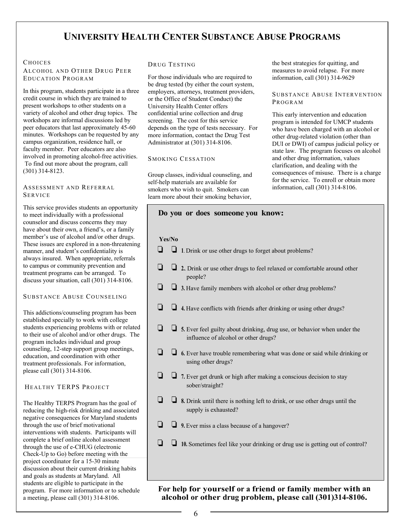# **UNIVERSITY HEALTH CENTER SUBSTANCE ABUSE PROGRAMS**

### **CHOICES**

ALCOHOL AND OTHER DRUG PEER EDUCATION PROGRAM

In this program, students participate in a three credit course in which they are trained to present workshops to other students on a variety of alcohol and other drug topics. The workshops are informal discussions led by peer educators that last approximately 45-60 minutes. Workshops can be requested by any campus organization, residence hall, or faculty member. Peer educators are also involved in promoting alcohol-free activities. To find out more about the program, call (301) 314-8123.

#### ASSESSMENT AND REFERRAL SERVICE

This service provides students an opportunity to meet individually with a professional counselor and discuss concerns they may have about their own, a friend's, or a family member's use of alcohol and/or other drugs. These issues are explored in a non-threatening manner, and student's confidentiality is always insured. When appropriate, referrals to campus or community prevention and treatment programs can be arranged. To discuss your situation, call (301) 314-8106.

### SUBSTANCE ABUSE COUNSELING

This addictions/counseling program has been established specially to work with college students experiencing problems with or related to their use of alcohol and/or other drugs. The program includes individual and group counseling, 12-step support group meetings, education, and coordination with other treatment professionals. For information, please call (301) 314-8106.

### HEALTHY TERPS PROJECT

The Healthy TERPS Program has the goal of reducing the high-risk drinking and associated negative consequences for Maryland students through the use of brief motivational interventions with students. Participants will complete a brief online alcohol assessment through the use of e-CHUG (electronic Check-Up to Go) before meeting with the project coordinator for a 15-30 minute discussion about their current drinking habits and goals as students at Maryland. All students are eligible to participate in the program. For more information or to schedule a meeting, please call (301) 314-8106.

#### DRUG TESTING

For those individuals who are required to be drug tested (by either the court system, employers, attorneys, treatment providers, or the Office of Student Conduct) the University Health Center offers confidential urine collection and drug screening. The cost for this service depends on the type of tests necessary. For more information, contact the Drug Test Administrator at (301) 314-8106.

#### SMOKING CESSATION

Group classes, individual counseling, and self-help materials are available for smokers who wish to quit. Smokers can learn more about their smoking behavior,

the best strategies for quitting, and measures to avoid relapse. For more information, call (301) 314-9629

### SUBSTANCE ABUSE INTERVENTION PROGRAM

This early intervention and education program is intended for UMCP students who have been charged with an alcohol or other drug-related violation (other than DUI or DWI) of campus judicial policy or state law. The program focuses on alcohol and other drug information, values clarification, and dealing with the consequences of misuse. There is a charge for the service. To enroll or obtain more information, call (301) 314-8106.

|     | Do you or does someone you know:                                                                                        |  |  |  |  |
|-----|-------------------------------------------------------------------------------------------------------------------------|--|--|--|--|
|     | Yes/No                                                                                                                  |  |  |  |  |
|     | $\Box$ 1. Drink or use other drugs to forget about problems?                                                            |  |  |  |  |
| - 1 | 2. Drink or use other drugs to feel relaxed or comfortable around other<br>people?                                      |  |  |  |  |
|     | 3. Have family members with alcohol or other drug problems?                                                             |  |  |  |  |
|     | $\Box$ 4. Have conflicts with friends after drinking or using other drugs?                                              |  |  |  |  |
| Ò   | $\Box$ 5. Ever feel guilty about drinking, drug use, or behavior when under the<br>influence of alcohol or other drugs? |  |  |  |  |
|     | $\Box$ 6. Ever have trouble remembering what was done or said while drinking or<br>using other drugs?                   |  |  |  |  |
|     | 7. Ever get drunk or high after making a conscious decision to stay<br>sober/straight?                                  |  |  |  |  |
|     | $\Box$ 8. Drink until there is nothing left to drink, or use other drugs until the<br>supply is exhausted?              |  |  |  |  |
|     | $\Box$ 9. Ever miss a class because of a hangover?                                                                      |  |  |  |  |
|     | $\Box$ 10. Sometimes feel like your drinking or drug use is getting out of control?                                     |  |  |  |  |
|     |                                                                                                                         |  |  |  |  |

 **alcohol or other drug problem, please call (301)314-8106. For help for yourself or a friend or family member with an**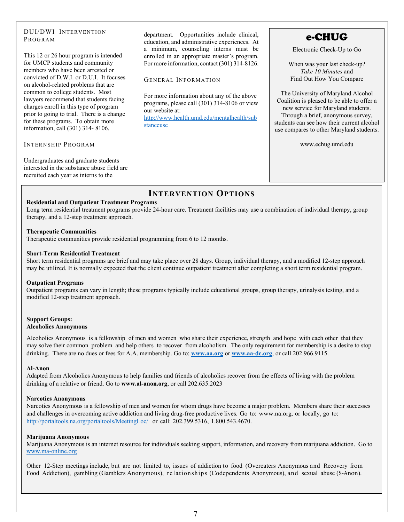### DUI/DWI INTERVENTION PROGRAM

This 12 or 26 hour program is intended for UMCP students and community members who have been arrested or convicted of D.W.I. or D.U.I. It focuses on alcohol-related problems that are common to college students. Most lawyers recommend that students facing charges enroll in this type of program prior to going to trial. There is a change for these programs. To obtain more information, call (301) 314- 8106.

### INTERNSHIP PROGRAM

Undergraduates and graduate students interested in the substance abuse field are recruited each year as interns to the

department. Opportunities include clinical, education, and administrative experiences. At a minimum, counseling interns must be enrolled in an appropriate master's program. For more information, contact (301) 314-8126.

#### GENERAL INFORMATION

For more information about any of the above programs, please call (301) 314-8106 or view our website at: [http://www.health.umd.edu/mentalhealth/sub](http://www.health.umd.edu/mentalhealth/substanceuse) [stanceuse](http://www.health.umd.edu/mentalhealth/substanceuse)

# e-CHUG

Electronic Check-Up to Go

When was your last check-up? *Take 10 Minutes* and Find Out How You Compare

The University of Maryland Alcohol Coalition is pleased to be able to offer a new service for Maryland students. Through a brief, anonymous survey, students can see how their current alcohol use compares to other Maryland students.

www.echug.umd.edu

# **INTERVENTION OPTIONS**

### **Residential and Outpatient Treatment Programs**

Long term residential treatment programs provide 24-hour care. Treatment facilities may use a combination of individual therapy, group therapy, and a 12-step treatment approach.

#### **Therapeutic Communities**

Therapeutic communities provide residential programming from 6 to 12 months.

#### **Short-Term Residential Treatment**

Short term residential programs are brief and may take place over 28 days. Group, individual therapy, and a modified 12-step approach may be utilized. It is normally expected that the client continue outpatient treatment after completing a short term residential program.

#### **Outpatient Programs**

Outpatient programs can vary in length; these programs typically include educational groups, group therapy, urinalysis testing, and a modified 12-step treatment approach.

#### **Support Groups: Alcoholics Anonymous**

Alcoholics Anonymous is a fellowship of men and women who share their experience, strength and hope with each other that they may solve their common problem and help others to recover from alcoholism. The only requirement for membership is a desire to stop drinking. There are no dues or fees for A.A. membership. Go to: **[www.aa.org](http://www.aa.org/)** or **[www.aa-dc.org](http://www.aa-dc.org/)**, or call 202.966.9115.

#### **Al-Anon**

Adapted from Alcoholics Anonymous to help families and friends of alcoholics recover from the effects of living with the problem drinking of a relative or friend. Go to **www.al-anon.org**, or call 202.635.2023

#### **Narcotics Anonymous**

Narcotics Anonymous is a fellowship of men and women for whom drugs have become a major problem. Members share their successes and challenges in overcoming active addiction and living drug-free productive lives. Go to: [www.na.org.](http://www.na.org/) or locally, go to: <http://portaltools.na.org/portaltools/MeetingLoc/> or call: 202.399.5316, 1.800.543.4670.

#### **Marijuana Anonymous**

Marijuana Anonymous is an internet resource for individuals seeking support, information, and recovery from marijuana addiction. Go to [www.ma-online.org](http://www.ma-online.org/)

Other 12-Step meetings include, but are not limited to, issues of addiction to food (Overeaters Anonymous and Recovery from Food Addiction), gambling (Gamblers Anonymous), relationships (Codependents Anonymous), and sexual abuse (S-Anon).